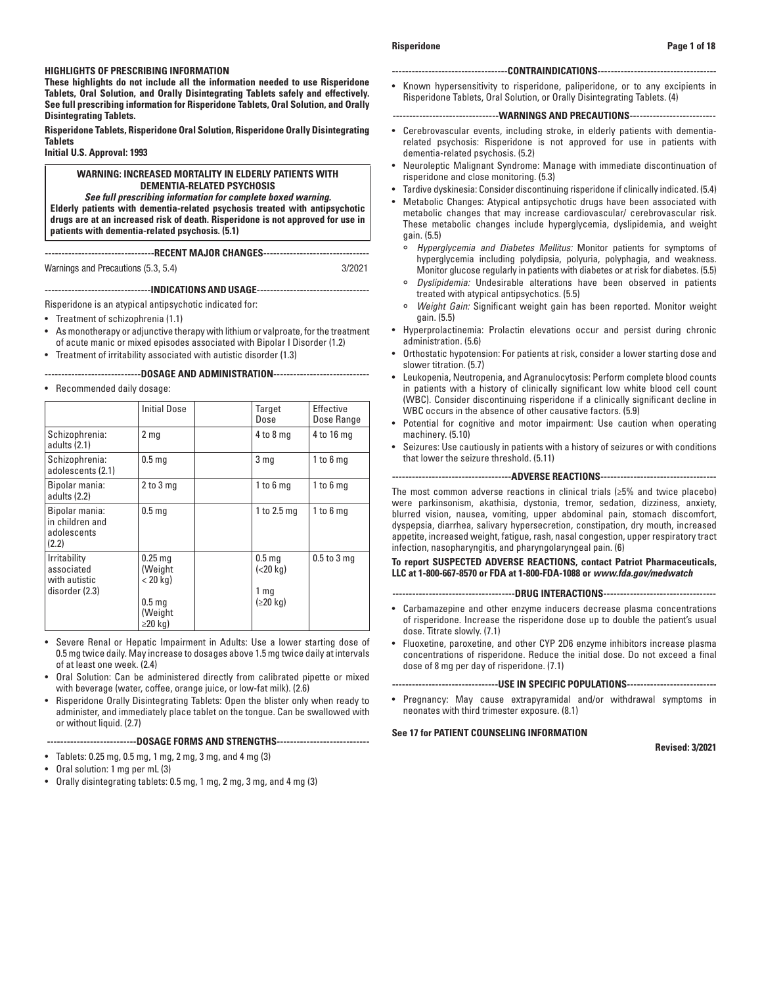# **HIGHLIGHTS OF PRESCRIBING INFORMATION**

**These highlights do not include all the information needed to use Risperidone Tablets, Oral Solution, and Orally Disintegrating Tablets safely and effectively. See full prescribing information for Risperidone Tablets, Oral Solution, and Orally Disintegrating Tablets.**

**Risperidone Tablets, Risperidone Oral Solution, Risperidone Orally Disintegrating Tablets**

# **Initial U.S. Approval: 1993**

## **WARNING: INCREASED MORTALITY IN ELDERLY PATIENTS WITH DEMENTIA-RELATED PSYCHOSIS**

*See full prescribing information for complete boxed warning.* **Elderly patients with dementia-related psychosis treated with antipsychotic drugs are at an increased risk of death. Risperidone is not approved for use in patients with dementia-related psychosis. (5.1)**

**---------------------------------RECENT MAJOR CHANGES--------------------------------** Warnings and Precautions (5.3, 5.4) 3/2021

# **--------------------------------INDICATIONS AND USAGE----------------------------------**

Risperidone is an atypical antipsychotic indicated for:

- Treatment of schizophrenia (1.1)
- As monotherapy or adjunctive therapy with lithium or valproate, for the treatment of acute manic or mixed episodes associated with Bipolar I Disorder (1.2)
- Treatment of irritability associated with autistic disorder (1.3)

**-----------------------------DOSAGE AND ADMINISTRATION-----------------------------**

• Recommended daily dosage:

|                                                               | <b>Initial Dose</b>                                                                 | Target<br>Dose                                                            | Effective<br>Dose Range |
|---------------------------------------------------------------|-------------------------------------------------------------------------------------|---------------------------------------------------------------------------|-------------------------|
| Schizophrenia:<br>adults (2.1)                                | 2 <sub>mg</sub>                                                                     | $4$ to $8$ mg                                                             | 4 to 16 mg              |
| Schizophrenia:<br>adolescents (2.1)                           | 0.5 <sub>mg</sub>                                                                   | 3 <sub>mg</sub>                                                           | $1$ to $6$ mg           |
| Bipolar mania:<br>adults (2.2)                                | 2 to 3 mg                                                                           | 1 to 6 mg                                                                 | $1$ to $6$ mg           |
| Bipolar mania:<br>in children and<br>adolescents<br>(2.2)     | 0.5 <sub>mg</sub>                                                                   | 1 to $2.5$ mg                                                             | $1$ to $6$ mg           |
| Irritability<br>associated<br>with autistic<br>disorder (2.3) | $0.25$ mg<br>(Weight<br>$<$ 20 kg)<br>0.5 <sub>mg</sub><br>(Weight<br>$\geq$ 20 kg) | 0.5 <sub>mg</sub><br>$(<$ 20 kg)<br>1 <sub>mg</sub><br>$(220 \text{ kg})$ | $0.5$ to $3$ mg         |

- Severe Renal or Hepatic Impairment in Adults: Use a lower starting dose of 0.5 mg twice daily. May increase to dosages above 1.5 mg twice daily at intervals of at least one week. (2.4)
- Oral Solution: Can be administered directly from calibrated pipette or mixed with beverage (water, coffee, orange juice, or low-fat milk). (2.6)
- Risperidone Orally Disintegrating Tablets: Open the blister only when ready to administer, and immediately place tablet on the tongue. Can be swallowed with or without liquid. (2.7)

### **---------------------------DOSAGE FORMS AND STRENGTHS----------------------------**

- Tablets: 0.25 mg, 0.5 mg, 1 mg, 2 mg, 3 mg, and 4 mg (3)
- Oral solution: 1 mg per mL (3)
- Orally disintegrating tablets: 0.5 mg, 1 mg, 2 mg, 3 mg, and 4 mg (3)

### **Risperidone Page 1 of 18**

### **-----------------------------------CONTRAINDICATIONS------------------------------------**

• Known hypersensitivity to risperidone, paliperidone, or to any excipients in Risperidone Tablets, Oral Solution, or Orally Disintegrating Tablets. (4)

## **--------------------------------WARNINGS AND PRECAUTIONS--------------------------**

- Cerebrovascular events, including stroke, in elderly patients with dementiarelated psychosis: Risperidone is not approved for use in patients with dementia-related psychosis. (5.2)
- Neuroleptic Malignant Syndrome: Manage with immediate discontinuation of risperidone and close monitoring. (5.3)
- Tardive dyskinesia: Consider discontinuing risperidone if clinically indicated. (5.4)
- Metabolic Changes: Atypical antipsychotic drugs have been associated with metabolic changes that may increase cardiovascular/ cerebrovascular risk. These metabolic changes include hyperglycemia, dyslipidemia, and weight gain. (5.5)
	- ° *Hyperglycemia and Diabetes Mellitus:* Monitor patients for symptoms of hyperglycemia including polydipsia, polyuria, polyphagia, and weakness. Monitor glucose regularly in patients with diabetes or at risk for diabetes. (5.5)
	- ° *Dyslipidemia:* Undesirable alterations have been observed in patients treated with atypical antipsychotics. (5.5)
	- ° *Weight Gain:* Significant weight gain has been reported. Monitor weight gain. (5.5)
- Hyperprolactinemia: Prolactin elevations occur and persist during chronic administration. (5.6)
- Orthostatic hypotension: For patients at risk, consider a lower starting dose and slower titration. (5.7)
- Leukopenia, Neutropenia, and Agranulocytosis: Perform complete blood counts in patients with a history of clinically significant low white blood cell count (WBC). Consider discontinuing risperidone if a clinically significant decline in WBC occurs in the absence of other causative factors. (5.9)
- Potential for cognitive and motor impairment: Use caution when operating machinery. (5.10)
- Seizures: Use cautiously in patients with a history of seizures or with conditions that lower the seizure threshold. (5.11)

### **------------------------------------ADVERSE REACTIONS-----------------------------------**

The most common adverse reactions in clinical trials (≥5% and twice placebo) were parkinsonism, akathisia, dystonia, tremor, sedation, dizziness, anxiety, blurred vision, nausea, vomiting, upper abdominal pain, stomach discomfort, dyspepsia, diarrhea, salivary hypersecretion, constipation, dry mouth, increased appetite, increased weight, fatigue, rash, nasal congestion, upper respiratory tract infection, nasopharyngitis, and pharyngolaryngeal pain. (6)

**To report SUSPECTED ADVERSE REACTIONS, contact Patriot Pharmaceuticals, LLC at 1-800-667-8570 or FDA at 1-800-FDA-1088 or** *www.fda.gov/medwatch* 

### **-------------------------------------DRUG INTERACTIONS----------------------------------**

- Carbamazepine and other enzyme inducers decrease plasma concentrations of risperidone. Increase the risperidone dose up to double the patient's usual dose. Titrate slowly. (7.1)
- Fluoxetine, paroxetine, and other CYP 2D6 enzyme inhibitors increase plasma concentrations of risperidone. Reduce the initial dose. Do not exceed a final dose of 8 mg per day of risperidone. (7.1)

**--------------------------------USE IN SPECIFIC POPULATIONS---------------------------**

• Pregnancy: May cause extrapyramidal and/or withdrawal symptoms in neonates with third trimester exposure. (8.1)

# **See 17 for PATIENT COUNSELING INFORMATION**

**Revised: 3/2021**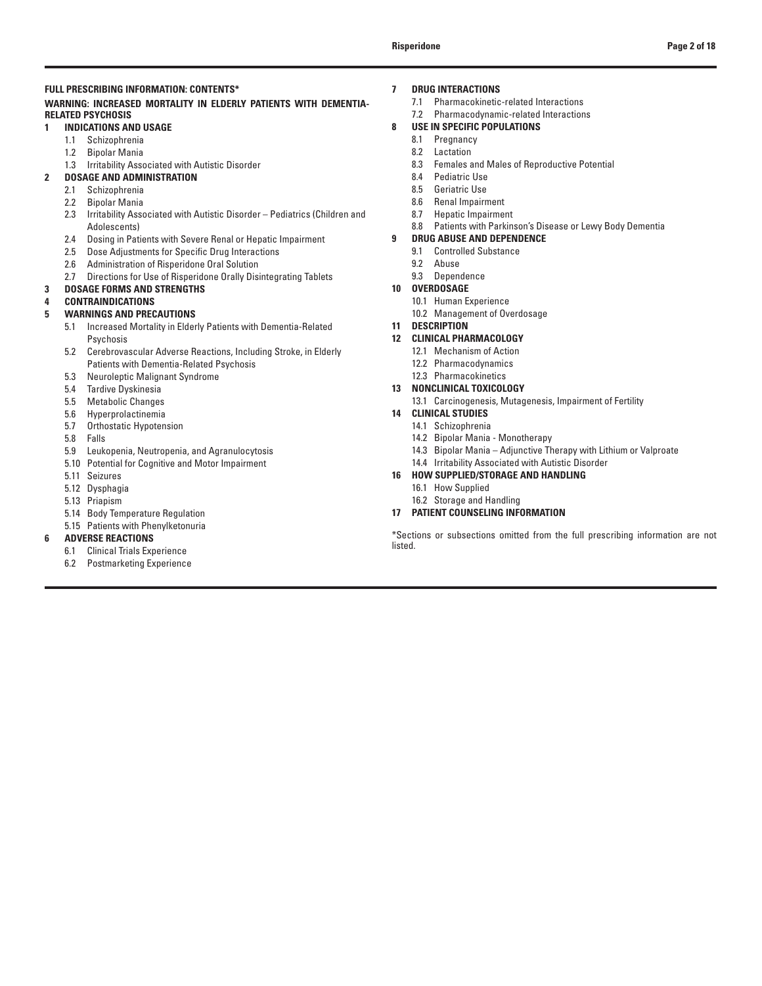# **FULL PRESCRIBING INFORMATION: CONTENTS\***

# **WARNING: INCREASED MORTALITY IN ELDERLY PATIENTS WITH DEMENTIA-RELATED PSYCHOSIS**

# **1 INDICATIONS AND USAGE**

- 1.1 Schizophrenia
- 1.2 Bipolar Mania
- 1.3 Irritability Associated with Autistic Disorder
- **2 DOSAGE AND ADMINISTRATION**
	- 2.1 Schizophrenia<br>2.2 Bipolar Mania
	- **Bipolar Mania**
	- 2.3 Irritability Associated with Autistic Disorder Pediatrics (Children and Adolescents)
	- 2.4 Dosing in Patients with Severe Renal or Hepatic Impairment
	- 2.5 Dose Adjustments for Specific Drug Interactions
	- 2.6 Administration of Risperidone Oral Solution
	- 2.7 Directions for Use of Risperidone Orally Disintegrating Tablets

# **3 DOSAGE FORMS AND STRENGTHS**

# **4 CONTRAINDICATIONS**

# **5 WARNINGS AND PRECAUTIONS**

- 5.1 Increased Mortality in Elderly Patients with Dementia-Related Psychosis
- 5.2 Cerebrovascular Adverse Reactions, Including Stroke, in Elderly Patients with Dementia-Related Psychosis
- 5.3 Neuroleptic Malignant Syndrome<br>5.4 Tardive Dyskinesia
- Tardive Dyskinesia
- 5.5 Metabolic Changes
- 5.6 Hyperprolactinemia
- 5.7 Orthostatic Hypotension
- 5.8 Falls
- 5.9 Leukopenia, Neutropenia, and Agranulocytosis
- 5.10 Potential for Cognitive and Motor Impairment
- 5.11 Seizures
- 5.12 Dysphagia
- 5.13 Priapism
- 5.14 Body Temperature Regulation
- 5.15 Patients with Phenylketonuria

# **6 ADVERSE REACTIONS**

- 6.1 Clinical Trials Experience
- 6.2 Postmarketing Experience

# **7 DRUG INTERACTIONS**

- 7.1 Pharmacokinetic-related Interactions
- 7.2 Pharmacodynamic-related Interactions

# **8 USE IN SPECIFIC POPULATIONS**

- 8.1 Pregnancy
- 8.2 Lactation
- 8.3 Females and Males of Reproductive Potential
- 8.4 Pediatric Use
- 8.5 Geriatric Use
- 8.6 Renal Impairment
- 8.7 Hepatic Impairment
- 8.8 Patients with Parkinson's Disease or Lewy Body Dementia
- **9 DRUG ABUSE AND DEPENDENCE**
	- 9.1 Controlled Substance
	- 9.2 Abuse
	- 9.3 Dependence

# **10 OVERDOSAGE**

- 10.1 Human Experience
	- 10.2 Management of Overdosage

# **11 DESCRIPTION**

- **12 CLINICAL PHARMACOLOGY**
	- 12.1 Mechanism of Action
	- 12.2 Pharmacodynamics
- 12.3 Pharmacokinetics

# **13 NONCLINICAL TOXICOLOGY**

13.1 Carcinogenesis, Mutagenesis, Impairment of Fertility

# **14 CLINICAL STUDIES**

- 14.1 Schizophrenia
- 14.2 Bipolar Mania Monotherapy
- 14.3 Bipolar Mania Adjunctive Therapy with Lithium or Valproate
- 14.4 Irritability Associated with Autistic Disorder
- **16 HOW SUPPLIED/STORAGE AND HANDLING**
	- 16.1 How Supplied
	- 16.2 Storage and Handling
- **17 PATIENT COUNSELING INFORMATION**

\*Sections or subsections omitted from the full prescribing information are not listed.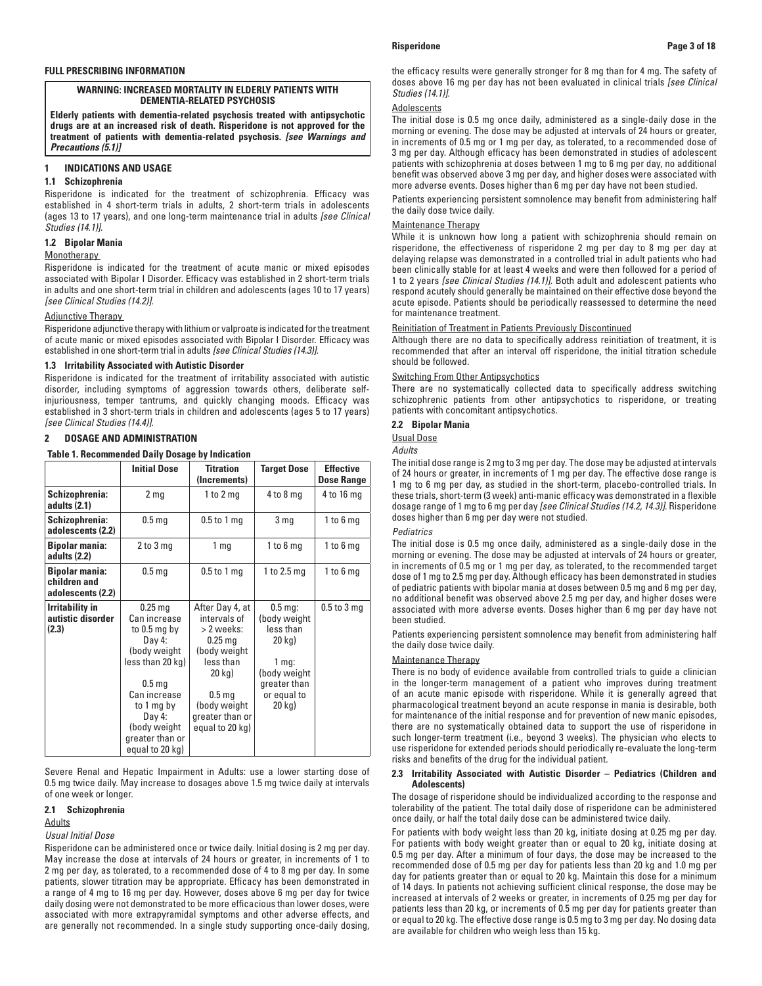# **WARNING: INCREASED MORTALITY IN ELDERLY PATIENTS WITH DEMENTIA-RELATED PSYCHOSIS**

**Elderly patients with dementia-related psychosis treated with antipsychotic drugs are at an increased risk of death. Risperidone is not approved for the treatment of patients with dementia-related psychosis.** *[see Warnings and Precautions (5.1)]*

# **1 INDICATIONS AND USAGE**

# **1.1 Schizophrenia**

Risperidone is indicated for the treatment of schizophrenia. Efficacy was established in 4 short-term trials in adults, 2 short-term trials in adolescents (ages 13 to 17 years), and one long-term maintenance trial in adults *[see Clinical Studies (14.1)]*.

# **1.2 Bipolar Mania**

# **Monotherapy**

Risperidone is indicated for the treatment of acute manic or mixed episodes associated with Bipolar I Disorder. Efficacy was established in 2 short-term trials in adults and one short-term trial in children and adolescents (ages 10 to 17 years) *[see Clinical Studies (14.2)]*.

# Adjunctive Therapy

Risperidone adjunctive therapy with lithium or valproate is indicated for the treatment of acute manic or mixed episodes associated with Bipolar I Disorder. Efficacy was established in one short-term trial in adults *[see Clinical Studies (14.3)]*.

# **1.3 Irritability Associated with Autistic Disorder**

Risperidone is indicated for the treatment of irritability associated with autistic disorder, including symptoms of aggression towards others, deliberate selfinjuriousness, temper tantrums, and quickly changing moods. Efficacy was established in 3 short-term trials in children and adolescents (ages 5 to 17 years) *[see Clinical Studies (14.4)]*.

# **2 DOSAGE AND ADMINISTRATION**

**Table 1. Recommended Daily Dosage by Indication**

|                                                            | <b>Initial Dose</b>                                                                                                                                                                                          | <b>Titration</b><br>(Increments)                                                                                                                                             | <b>Target Dose</b>                                                                                                                        | <b>Effective</b><br><b>Dose Range</b> |
|------------------------------------------------------------|--------------------------------------------------------------------------------------------------------------------------------------------------------------------------------------------------------------|------------------------------------------------------------------------------------------------------------------------------------------------------------------------------|-------------------------------------------------------------------------------------------------------------------------------------------|---------------------------------------|
| Schizophrenia:<br>adults (2.1)                             | 2 <sub>mg</sub>                                                                                                                                                                                              | 1 to $2$ mg                                                                                                                                                                  | $4$ to $8$ mg                                                                                                                             | 4 to 16 mg                            |
| Schizophrenia:<br>adolescents (2.2)                        | 0.5 <sub>mg</sub>                                                                                                                                                                                            | $0.5$ to 1 mg                                                                                                                                                                | 3 <sub>mg</sub>                                                                                                                           | 1 to $6$ mg                           |
| <b>Bipolar mania:</b><br>adults (2.2)                      | $2$ to $3$ mg                                                                                                                                                                                                | 1 <sub>mq</sub>                                                                                                                                                              | $1$ to $6$ mg                                                                                                                             | $1$ to $6$ mg                         |
| <b>Bipolar mania:</b><br>children and<br>adolescents (2.2) | 0.5 <sub>mg</sub>                                                                                                                                                                                            | $0.5$ to 1 mg                                                                                                                                                                | 1 to 2.5 mg                                                                                                                               | $1 to 6$ mg                           |
| <b>Irritability in</b><br>autistic disorder<br>(2.3)       | $0.25$ mg<br>Can increase<br>to $0.5$ mg by<br>Day 4:<br>(body weight<br>less than 20 kg)<br>0.5 <sub>mg</sub><br>Can increase<br>to 1 mg by<br>Day 4:<br>(body weight<br>greater than or<br>equal to 20 kg) | After Day 4, at<br>intervals of<br>> 2 weeks:<br>$0.25$ mg<br>(body weight<br>less than<br>20 kg)<br>0.5 <sub>mg</sub><br>(body weight<br>greater than or<br>equal to 20 kg) | $0.5 \,\mathrm{mg}$ :<br>(body weight)<br>less than<br>20 kg)<br>1 <sub>mq</sub><br>(body weight<br>greater than<br>or equal to<br>20 kg) | $0.5$ to $3$ mg                       |

Severe Renal and Hepatic Impairment in Adults: use a lower starting dose of 0.5 mg twice daily. May increase to dosages above 1.5 mg twice daily at intervals of one week or longer.

# **2.1 Schizophrenia**

# Adults

# *Usual Initial Dose*

Risperidone can be administered once or twice daily. Initial dosing is 2 mg per day. May increase the dose at intervals of 24 hours or greater, in increments of 1 to 2 mg per day, as tolerated, to a recommended dose of 4 to 8 mg per day. In some patients, slower titration may be appropriate. Efficacy has been demonstrated in a range of 4 mg to 16 mg per day. However, doses above 6 mg per day for twice daily dosing were not demonstrated to be more efficacious than lower doses, were associated with more extrapyramidal symptoms and other adverse effects, and are generally not recommended. In a single study supporting once-daily dosing,

the efficacy results were generally stronger for 8 mg than for 4 mg. The safety of doses above 16 mg per day has not been evaluated in clinical trials *[see Clinical Studies (14.1)]*.

# Adolescents

The initial dose is 0.5 mg once daily, administered as a single-daily dose in the morning or evening. The dose may be adjusted at intervals of 24 hours or greater, in increments of 0.5 mg or 1 mg per day, as tolerated, to a recommended dose of 3 mg per day. Although efficacy has been demonstrated in studies of adolescent patients with schizophrenia at doses between 1 mg to 6 mg per day, no additional benefit was observed above 3 mg per day, and higher doses were associated with more adverse events. Doses higher than 6 mg per day have not been studied.

Patients experiencing persistent somnolence may benefit from administering half the daily dose twice daily.

# Maintenance Therapy

While it is unknown how long a patient with schizophrenia should remain on risperidone, the effectiveness of risperidone 2 mg per day to 8 mg per day at delaying relapse was demonstrated in a controlled trial in adult patients who had been clinically stable for at least 4 weeks and were then followed for a period of 1 to 2 years *[see Clinical Studies (14.1)]*. Both adult and adolescent patients who respond acutely should generally be maintained on their effective dose beyond the acute episode. Patients should be periodically reassessed to determine the need for maintenance treatment.

# Reinitiation of Treatment in Patients Previously Discontinued

Although there are no data to specifically address reinitiation of treatment, it is recommended that after an interval off risperidone, the initial titration schedule should be followed.

## Switching From Other Antipsychotics

There are no systematically collected data to specifically address switching schizophrenic patients from other antipsychotics to risperidone, or treating patients with concomitant antipsychotics.

# **2.2 Bipolar Mania**

### Usual Dose

*Adults*

The initial dose range is 2 mg to 3 mg per day. The dose may be adjusted at intervals of 24 hours or greater, in increments of 1 mg per day. The effective dose range is 1 mg to 6 mg per day, as studied in the short-term, placebo-controlled trials. In these trials, short-term (3 week) anti-manic efficacy was demonstrated in a flexible dosage range of 1 mg to 6 mg per day *[see Clinical Studies (14.2, 14.3)]*. Risperidone doses higher than 6 mg per day were not studied.

## *Pediatrics*

The initial dose is 0.5 mg once daily, administered as a single-daily dose in the morning or evening. The dose may be adjusted at intervals of 24 hours or greater, in increments of 0.5 mg or 1 mg per day, as tolerated, to the recommended target dose of 1 mg to 2.5 mg per day. Although efficacy has been demonstrated in studies of pediatric patients with bipolar mania at doses between 0.5 mg and 6 mg per day, no additional benefit was observed above 2.5 mg per day, and higher doses were associated with more adverse events. Doses higher than 6 mg per day have not been studied.

Patients experiencing persistent somnolence may benefit from administering half the daily dose twice daily.

# Maintenance Therapy

There is no body of evidence available from controlled trials to guide a clinician in the longer-term management of a patient who improves during treatment of an acute manic episode with risperidone. While it is generally agreed that pharmacological treatment beyond an acute response in mania is desirable, both for maintenance of the initial response and for prevention of new manic episodes, there are no systematically obtained data to support the use of risperidone in such longer-term treatment (i.e., beyond 3 weeks). The physician who elects to use risperidone for extended periods should periodically re-evaluate the long-term risks and benefits of the drug for the individual patient.

# **2.3 Irritability Associated with Autistic Disorder – Pediatrics (Children and Adolescents)**

The dosage of risperidone should be individualized according to the response and tolerability of the patient. The total daily dose of risperidone can be administered once daily, or half the total daily dose can be administered twice daily.

For patients with body weight less than 20 kg, initiate dosing at 0.25 mg per day. For patients with body weight greater than or equal to 20 kg, initiate dosing at 0.5 mg per day. After a minimum of four days, the dose may be increased to the recommended dose of 0.5 mg per day for patients less than 20 kg and 1.0 mg per day for patients greater than or equal to 20 kg. Maintain this dose for a minimum of 14 days. In patients not achieving sufficient clinical response, the dose may be increased at intervals of 2 weeks or greater, in increments of 0.25 mg per day for patients less than 20 kg, or increments of 0.5 mg per day for patients greater than or equal to 20 kg. The effective dose range is 0.5 mg to 3 mg per day. No dosing data are available for children who weigh less than 15 kg.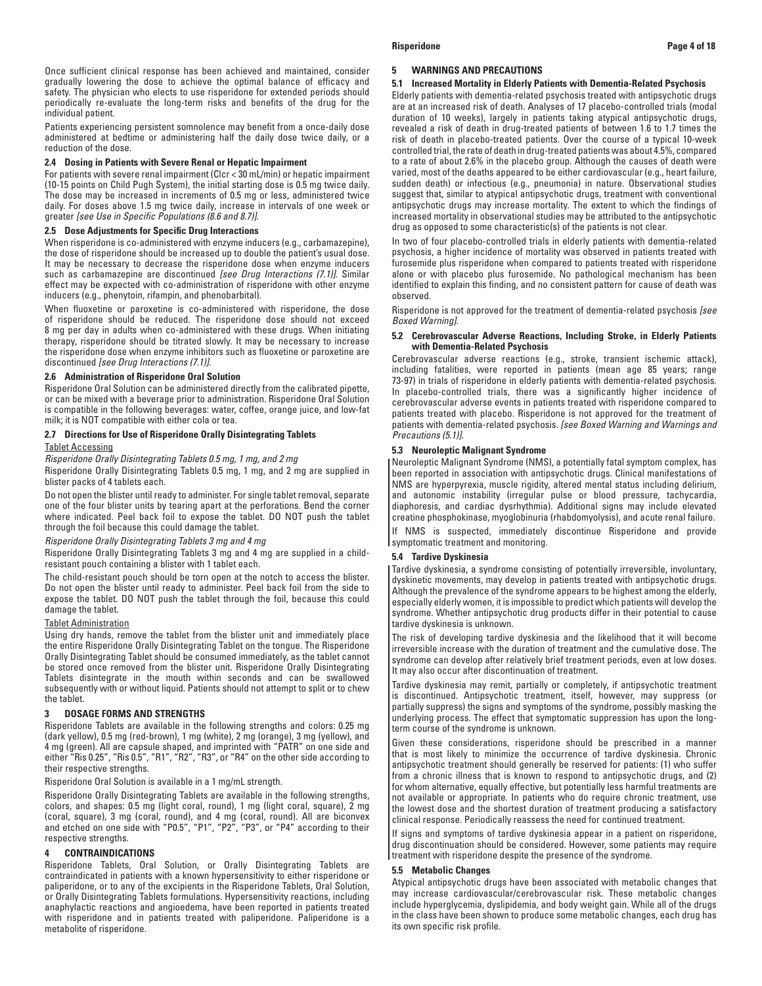Once sufficient clinical response has been achieved and maintained, consider gradually lowering the dose to achieve the optimal balance of efficacy and safety. The physician who elects to use risperidone for extended periods should periodically re-evaluate the long-term risks and benefits of the drug for the individual patient.

Patients experiencing persistent somnolence may benefit from a once-daily dose administered at bedtime or administering half the daily dose twice daily, or a reduction of the dose.

## **2.4 Dosing in Patients with Severe Renal or Hepatic Impairment**

For patients with severe renal impairment (Clcr < 30 mL/min) or hepatic impairment (10-15 points on Child Pugh System), the initial starting dose is 0.5 mg twice daily. The dose may be increased in increments of 0.5 mg or less, administered twice daily. For doses above 1.5 mg twice daily, increase in intervals of one week or greater *[see Use in Specific Populations (8.6 and 8.7)]*.

## **2.5 Dose Adjustments for Specific Drug Interactions**

When risperidone is co-administered with enzyme inducers (e.g., carbamazepine), the dose of risperidone should be increased up to double the patient's usual dose. It may be necessary to decrease the risperidone dose when enzyme inducers such as carbamazepine are discontinued *[see Drug Interactions (7.1)]*. Similar effect may be expected with co-administration of risperidone with other enzyme inducers (e.g., phenytoin, rifampin, and phenobarbital).

When fluoxetine or paroxetine is co-administered with risperidone, the dose of risperidone should be reduced. The risperidone dose should not exceed 8 mg per day in adults when co-administered with these drugs. When initiating therapy, risperidone should be titrated slowly. It may be necessary to increase the risperidone dose when enzyme inhibitors such as fluoxetine or paroxetine are discontinued *[see Drug Interactions (7.1)]*.

### **2.6 Administration of Risperidone Oral Solution**

Risperidone Oral Solution can be administered directly from the calibrated pipette, or can be mixed with a beverage prior to administration. Risperidone Oral Solution is compatible in the following beverages: water, coffee, orange juice, and low-fat milk; it is NOT compatible with either cola or tea.

## **2.7 Directions for Use of Risperidone Orally Disintegrating Tablets**

## Tablet Accessing

*Risperidone Orally Disintegrating Tablets 0.5 mg, 1 mg, and 2 mg*

Risperidone Orally Disintegrating Tablets 0.5 mg, 1 mg, and 2 mg are supplied in blister packs of 4 tablets each.

Do not open the blister until ready to administer. For single tablet removal, separate one of the four blister units by tearing apart at the perforations. Bend the corner where indicated. Peel back foil to expose the tablet. DO NOT push the tablet through the foil because this could damage the tablet.

## *Risperidone Orally Disintegrating Tablets 3 mg and 4 mg*

Risperidone Orally Disintegrating Tablets 3 mg and 4 mg are supplied in a childresistant pouch containing a blister with 1 tablet each.

The child-resistant pouch should be torn open at the notch to access the blister. Do not open the blister until ready to administer. Peel back foil from the side to expose the tablet. DO NOT push the tablet through the foil, because this could damage the tablet.

### Tablet Administration

Using dry hands, remove the tablet from the blister unit and immediately place the entire Risperidone Orally Disintegrating Tablet on the tongue. The Risperidone Orally Disintegrating Tablet should be consumed immediately, as the tablet cannot be stored once removed from the blister unit. Risperidone Orally Disintegrating Tablets disintegrate in the mouth within seconds and can be swallowed subsequently with or without liquid. Patients should not attempt to split or to chew the tablet.

### **3 DOSAGE FORMS AND STRENGTHS**

Risperidone Tablets are available in the following strengths and colors: 0.25 mg (dark yellow), 0.5 mg (red-brown), 1 mg (white), 2 mg (orange), 3 mg (yellow), and 4 mg (green). All are capsule shaped, and imprinted with "PATR" on one side and either "Ris 0.25", "Ris 0.5", "R1", "R2", "R3", or "R4" on the other side according to their respective strengths.

Risperidone Oral Solution is available in a 1 mg/mL strength.

Risperidone Orally Disintegrating Tablets are available in the following strengths, colors, and shapes: 0.5 mg (light coral, round), 1 mg (light coral, square), 2 mg (coral, square), 3 mg (coral, round), and 4 mg (coral, round). All are biconvex and etched on one side with "P0.5", "P1", "P2", "P3", or "P4" according to their respective strengths.

### **4 CONTRAINDICATIONS**

Risperidone Tablets, Oral Solution, or Orally Disintegrating Tablets are contraindicated in patients with a known hypersensitivity to either risperidone or paliperidone, or to any of the excipients in the Risperidone Tablets, Oral Solution, or Orally Disintegrating Tablets formulations. Hypersensitivity reactions, including anaphylactic reactions and angioedema, have been reported in patients treated with risperidone and in patients treated with paliperidone. Paliperidone is a metabolite of risperidone.

### **5 WARNINGS AND PRECAUTIONS**

## **5.1 Increased Mortality in Elderly Patients with Dementia-Related Psychosis**

Elderly patients with dementia-related psychosis treated with antipsychotic drugs are at an increased risk of death. Analyses of 17 placebo-controlled trials (modal duration of 10 weeks), largely in patients taking atypical antipsychotic drugs, revealed a risk of death in drug-treated patients of between 1.6 to 1.7 times the risk of death in placebo-treated patients. Over the course of a typical 10-week controlled trial, the rate of death in drug-treated patients was about 4.5%, compared to a rate of about 2.6% in the placebo group. Although the causes of death were varied, most of the deaths appeared to be either cardiovascular (e.g., heart failure, sudden death) or infectious (e.g., pneumonia) in nature. Observational studies suggest that, similar to atypical antipsychotic drugs, treatment with conventional antipsychotic drugs may increase mortality. The extent to which the findings of increased mortality in observational studies may be attributed to the antipsychotic drug as opposed to some characteristic(s) of the patients is not clear.

In two of four placebo-controlled trials in elderly patients with dementia-related psychosis, a higher incidence of mortality was observed in patients treated with furosemide plus risperidone when compared to patients treated with risperidone alone or with placebo plus furosemide. No pathological mechanism has been identified to explain this finding, and no consistent pattern for cause of death was observed.

Risperidone is not approved for the treatment of dementia-related psychosis *[see Boxed Warning]*.

## **5.2 Cerebrovascular Adverse Reactions, Including Stroke, in Elderly Patients with Dementia-Related Psychosis**

Cerebrovascular adverse reactions (e.g., stroke, transient ischemic attack), including fatalities, were reported in patients (mean age 85 years; range 73-97) in trials of risperidone in elderly patients with dementia-related psychosis. In placebo-controlled trials, there was a significantly higher incidence of cerebrovascular adverse events in patients treated with risperidone compared to patients treated with placebo. Risperidone is not approved for the treatment of patients with dementia-related psychosis. *[see Boxed Warning and Warnings and Precautions (5.1)].* 

## **5.3 Neuroleptic Malignant Syndrome**

Neuroleptic Malignant Syndrome (NMS), a potentially fatal symptom complex, has been reported in association with antipsychotic drugs. Clinical manifestations of NMS are hyperpyrexia, muscle rigidity, altered mental status including delirium, and autonomic instability (irregular pulse or blood pressure, tachycardia, diaphoresis, and cardiac dysrhythmia). Additional signs may include elevated creatine phosphokinase, myoglobinuria (rhabdomyolysis), and acute renal failure.

If NMS is suspected, immediately discontinue Risperidone and provide symptomatic treatment and monitoring.

### **5.4 Tardive Dyskinesia**

Tardive dyskinesia, a syndrome consisting of potentially irreversible, involuntary, dyskinetic movements, may develop in patients treated with antipsychotic drugs. Although the prevalence of the syndrome appears to be highest among the elderly, especially elderly women, it is impossible to predict which patients will develop the syndrome. Whether antipsychotic drug products differ in their potential to cause tardive dyskinesia is unknown.

The risk of developing tardive dyskinesia and the likelihood that it will become irreversible increase with the duration of treatment and the cumulative dose. The syndrome can develop after relatively brief treatment periods, even at low doses. It may also occur after discontinuation of treatment.

Tardive dyskinesia may remit, partially or completely, if antipsychotic treatment is discontinued. Antipsychotic treatment, itself, however, may suppress (or partially suppress) the signs and symptoms of the syndrome, possibly masking the underlying process. The effect that symptomatic suppression has upon the longterm course of the syndrome is unknown.

Given these considerations, risperidone should be prescribed in a manner that is most likely to minimize the occurrence of tardive dyskinesia. Chronic antipsychotic treatment should generally be reserved for patients: (1) who suffer from a chronic illness that is known to respond to antipsychotic drugs, and (2) for whom alternative, equally effective, but potentially less harmful treatments are not available or appropriate. In patients who do require chronic treatment, use the lowest dose and the shortest duration of treatment producing a satisfactory clinical response. Periodically reassess the need for continued treatment.

If signs and symptoms of tardive dyskinesia appear in a patient on risperidone, drug discontinuation should be considered. However, some patients may require treatment with risperidone despite the presence of the syndrome.

## **5.5 Metabolic Changes**

Atypical antipsychotic drugs have been associated with metabolic changes that may increase cardiovascular/cerebrovascular risk. These metabolic changes include hyperglycemia, dyslipidemia, and body weight gain. While all of the drugs in the class have been shown to produce some metabolic changes, each drug has its own specific risk profile.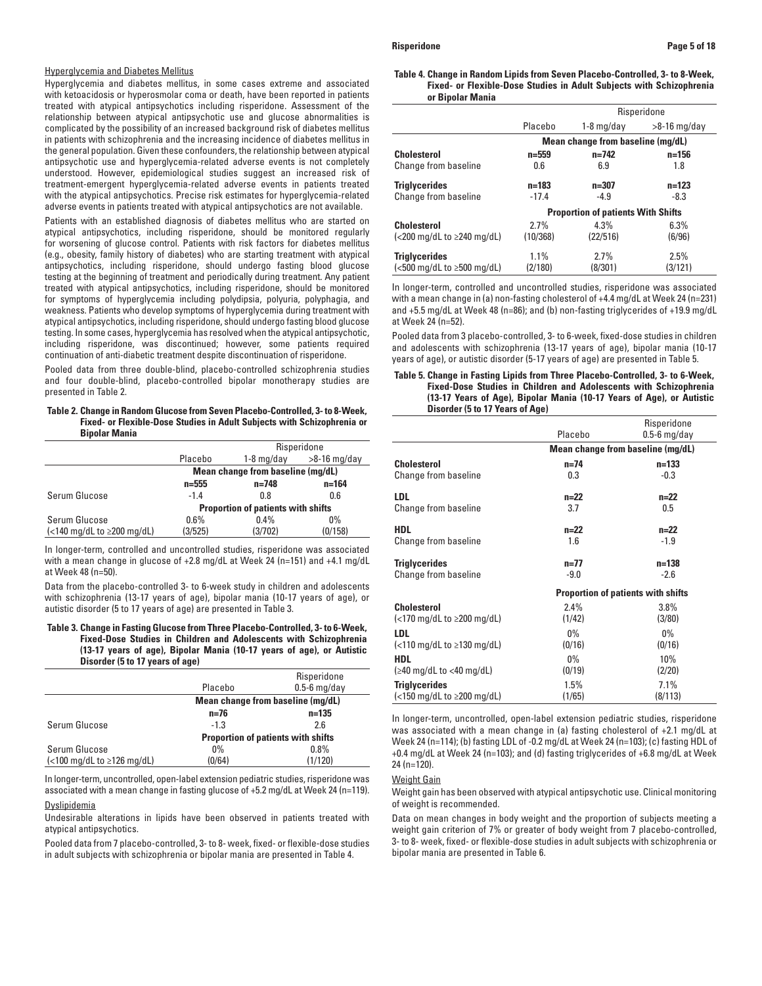### Hyperglycemia and Diabetes Mellitus

Hyperglycemia and diabetes mellitus, in some cases extreme and associated with ketoacidosis or hyperosmolar coma or death, have been reported in patients treated with atypical antipsychotics including risperidone. Assessment of the relationship between atypical antipsychotic use and glucose abnormalities is complicated by the possibility of an increased background risk of diabetes mellitus in patients with schizophrenia and the increasing incidence of diabetes mellitus in the general population. Given these confounders, the relationship between atypical antipsychotic use and hyperglycemia-related adverse events is not completely understood. However, epidemiological studies suggest an increased risk of treatment-emergent hyperglycemia-related adverse events in patients treated with the atypical antipsychotics. Precise risk estimates for hyperglycemia-related adverse events in patients treated with atypical antipsychotics are not available.

Patients with an established diagnosis of diabetes mellitus who are started on atypical antipsychotics, including risperidone, should be monitored regularly for worsening of glucose control. Patients with risk factors for diabetes mellitus (e.g., obesity, family history of diabetes) who are starting treatment with atypical antipsychotics, including risperidone, should undergo fasting blood glucose testing at the beginning of treatment and periodically during treatment. Any patient treated with atypical antipsychotics, including risperidone, should be monitored for symptoms of hyperglycemia including polydipsia, polyuria, polyphagia, and weakness. Patients who develop symptoms of hyperglycemia during treatment with atypical antipsychotics, including risperidone, should undergo fasting blood glucose testing. In some cases, hyperglycemia has resolved when the atypical antipsychotic, including risperidone, was discontinued; however, some patients required continuation of anti-diabetic treatment despite discontinuation of risperidone.

Pooled data from three double-blind, placebo-controlled schizophrenia studies and four double-blind, placebo-controlled bipolar monotherapy studies are presented in Table 2.

### **Table 2. Change in Random Glucose from Seven Placebo-Controlled, 3- to 8-Week, Fixed- or Flexible-Dose Studies in Adult Subjects with Schizophrenia or Bipolar Mania**

|                                                                                |           |                                           | Risperidone    |
|--------------------------------------------------------------------------------|-----------|-------------------------------------------|----------------|
|                                                                                | Placebo   | $1-8$ mg/day                              | $>8-16$ mg/day |
|                                                                                |           | Mean change from baseline (mg/dL)         |                |
|                                                                                | $n = 555$ | $n = 748$                                 | $n = 164$      |
| Serum Glucose                                                                  | $-1.4$    | 0.8                                       | 0.6            |
|                                                                                |           | <b>Proportion of patients with shifts</b> |                |
| Serum Glucose                                                                  | 0.6%      | $0.4\%$                                   | $0\%$          |
| $\left\langle \langle 140 \text{ mg/dL} \tan 2200 \text{ mg/dL} \right\rangle$ | (3/525)   | (3/702)                                   | (0/158)        |

In longer-term, controlled and uncontrolled studies, risperidone was associated with a mean change in glucose of +2.8 mg/dL at Week 24 (n=151) and +4.1 mg/dL at Week 48 (n=50).

Data from the placebo-controlled 3- to 6-week study in children and adolescents with schizophrenia (13-17 years of age), bipolar mania (10-17 years of age), or autistic disorder (5 to 17 years of age) are presented in Table 3.

## **Table 3. Change in Fasting Glucose from Three Placebo-Controlled, 3- to 6-Week, Fixed-Dose Studies in Children and Adolescents with Schizophrenia (13-17 years of age), Bipolar Mania (10-17 years of age), or Autistic Disorder (5 to 17 years of age)**

|                                                                  |          | Risperidone                               |  |
|------------------------------------------------------------------|----------|-------------------------------------------|--|
|                                                                  | Placebo  | $0.5-6$ mg/day                            |  |
|                                                                  |          | Mean change from baseline (mg/dL)         |  |
|                                                                  | $n = 76$ | $n = 135$                                 |  |
| Serum Glucose                                                    | $-1.3$   | 2.6                                       |  |
|                                                                  |          | <b>Proportion of patients with shifts</b> |  |
| Serum Glucose                                                    | $0\%$    | 0.8%                                      |  |
| $\left( < 100 \text{ mg/dL} \right)$ to $\geq 126 \text{ mg/dL}$ | (0/64)   | (1/120)                                   |  |
|                                                                  |          |                                           |  |

In longer-term, uncontrolled, open-label extension pediatric studies, risperidone was associated with a mean change in fasting glucose of +5.2 mg/dL at Week 24 (n=119).

# **Dyslipidemia**

Undesirable alterations in lipids have been observed in patients treated with atypical antipsychotics.

Pooled data from 7 placebo-controlled, 3- to 8- week, fixed- or flexible-dose studies in adult subjects with schizophrenia or bipolar mania are presented in Table 4.

### **Table 4. Change in Random Lipids from Seven Placebo-Controlled, 3- to 8-Week, Fixed- or Flexible-Dose Studies in Adult Subjects with Schizophrenia or Bipolar Mania**

|                                                                                    |           |                                           | Risperidone    |
|------------------------------------------------------------------------------------|-----------|-------------------------------------------|----------------|
|                                                                                    | Placebo   | 1-8 mg/day                                | $>8-16$ mg/day |
|                                                                                    |           | Mean change from baseline (mg/dL)         |                |
| <b>Cholesterol</b>                                                                 | n=559     | $n=742$                                   | $n = 156$      |
| Change from baseline                                                               | 0.6       | 6.9                                       | 1.8            |
| <b>Triglycerides</b>                                                               | $n = 183$ | $n = 307$                                 | $n=123$        |
| Change from baseline                                                               | $-17.4$   | $-4.9$                                    | $-8.3$         |
|                                                                                    |           | <b>Proportion of patients With Shifts</b> |                |
| <b>Cholesterol</b>                                                                 | 2.7%      | 4.3%                                      | 6.3%           |
| $\left\langle \text{<}200 \text{ mg/dL} \right\rangle$ to $\geq 240 \text{ mg/dL}$ | (10/368)  | (22/516)                                  | (6/96)         |
| <b>Triglycerides</b>                                                               | 1.1%      | 2.7%                                      | 2.5%           |
| $\left( < 500 \right)$ mg/dL to $\geq 500$ mg/dL)                                  | (2/180)   | (8/301)                                   | (3/121)        |

In longer-term, controlled and uncontrolled studies, risperidone was associated with a mean change in (a) non-fasting cholesterol of +4.4 mg/dL at Week 24 (n=231) and +5.5 mg/dL at Week 48 (n=86); and (b) non-fasting triglycerides of +19.9 mg/dL at Week 24 (n=52).

Pooled data from 3 placebo-controlled, 3- to 6-week, fixed-dose studies in children and adolescents with schizophrenia (13-17 years of age), bipolar mania (10-17 years of age), or autistic disorder (5-17 years of age) are presented in Table 5.

## **Table 5. Change in Fasting Lipids from Three Placebo-Controlled, 3- to 6-Week, Fixed-Dose Studies in Children and Adolescents with Schizophrenia (13-17 Years of Age), Bipolar Mania (10-17 Years of Age), or Autistic Disorder (5 to 17 Years of Age)**

|                                                                               |          | Risperidone                               |
|-------------------------------------------------------------------------------|----------|-------------------------------------------|
|                                                                               | Placebo  | $0.5-6$ mg/day                            |
|                                                                               |          | Mean change from baseline (mg/dL)         |
| <b>Cholesterol</b>                                                            | $n = 74$ | $n=133$                                   |
| Change from baseline                                                          | 0.3      | $-0.3$                                    |
| <b>LDL</b>                                                                    | $n=22$   | $n=22$                                    |
| Change from baseline                                                          | 3.7      | 0.5                                       |
| <b>HDL</b>                                                                    | $n=22$   | $n=22$                                    |
| Change from baseline                                                          | 1.6      | $-1.9$                                    |
| <b>Triglycerides</b>                                                          | $n=77$   | $n = 138$                                 |
| <b>Change from baseline</b>                                                   | $-9.0$   | $-2.6$                                    |
|                                                                               |          | <b>Proportion of patients with shifts</b> |
| <b>Cholesterol</b>                                                            | 2.4%     | $3.8\%$                                   |
| $\left\langle \langle 170 \text{ mg/dL} \tan 200 \text{ mg/dL} \right\rangle$ | (1/42)   | (3/80)                                    |
| <b>LDL</b>                                                                    | $0\%$    | $0\%$                                     |
| $\left($ <110 mg/dL to $\geq$ 130 mg/dL)                                      | (0/16)   | (0/16)                                    |
| <b>HDL</b>                                                                    | $0\%$    | 10%                                       |
| $(\geq 40 \text{ mg/dL to} < 40 \text{ mg/dL})$                               | (0/19)   | (2/20)                                    |
| <b>Triglycerides</b>                                                          | 1.5%     | 7.1%                                      |
| $\left\langle \langle 150 \text{ mg/dL} \tan 200 \text{ mg/dL} \right\rangle$ | (1/65)   | (8/113)                                   |

In longer-term, uncontrolled, open-label extension pediatric studies, risperidone was associated with a mean change in (a) fasting cholesterol of +2.1 mg/dL at Week 24 (n=114); (b) fasting LDL of -0.2 mg/dL at Week 24 (n=103); (c) fasting HDL of +0.4 mg/dL at Week 24 (n=103); and (d) fasting triglycerides of +6.8 mg/dL at Week 24 (n=120).

### Weight Gain

Weight gain has been observed with atypical antipsychotic use. Clinical monitoring of weight is recommended.

Data on mean changes in body weight and the proportion of subjects meeting a weight gain criterion of 7% or greater of body weight from 7 placebo-controlled, 3- to 8- week, fixed- or flexible-dose studies in adult subjects with schizophrenia or bipolar mania are presented in Table 6.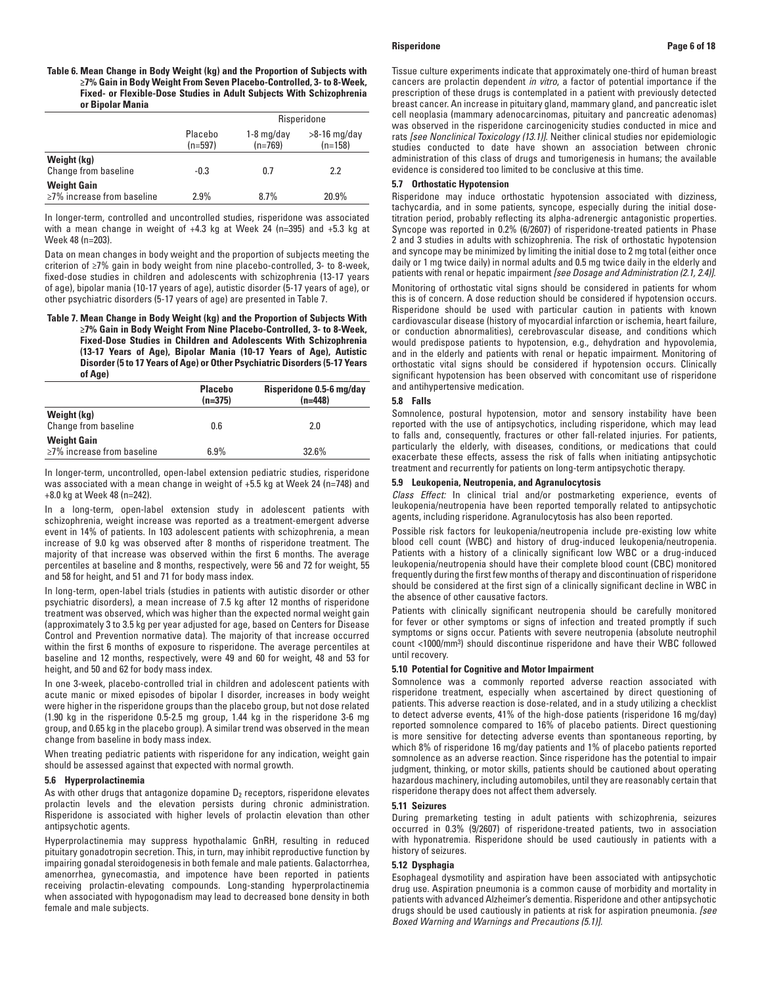## **Table 6. Mean Change in Body Weight (kg) and the Proportion of Subjects with ≥7% Gain in Body Weight From Seven Placebo-Controlled, 3- to 8-Week, Fixed- or Flexible-Dose Studies in Adult Subjects With Schizophrenia or Bipolar Mania**

|                                                        |                      |                           | Risperidone                 |
|--------------------------------------------------------|----------------------|---------------------------|-----------------------------|
|                                                        | Placebo<br>$(n=597)$ | $1-8$ mg/day<br>$(n=769)$ | $>8-16$ mg/day<br>$(n=158)$ |
| Weight (kg)<br>Change from baseline                    | $-0.3$               | 0.7                       | 2.2                         |
| <b>Weight Gain</b><br>$\geq$ 7% increase from baseline | 2.9%                 | 8.7%                      | 20.9%                       |

In longer-term, controlled and uncontrolled studies, risperidone was associated with a mean change in weight of +4.3 kg at Week 24 (n=395) and +5.3 kg at Week 48 (n=203).

Data on mean changes in body weight and the proportion of subjects meeting the criterion of ≥7% gain in body weight from nine placebo-controlled, 3- to 8-week, fixed-dose studies in children and adolescents with schizophrenia (13-17 years of age), bipolar mania (10-17 years of age), autistic disorder (5-17 years of age), or other psychiatric disorders (5-17 years of age) are presented in Table 7.

**Table 7. Mean Change in Body Weight (kg) and the Proportion of Subjects With ≥7% Gain in Body Weight From Nine Placebo-Controlled, 3- to 8-Week, Fixed-Dose Studies in Children and Adolescents With Schizophrenia (13-17 Years of Age), Bipolar Mania (10-17 Years of Age), Autistic Disorder (5 to 17 Years of Age) or Other Psychiatric Disorders (5-17 Years of Age)**

|                                                        | <b>Placebo</b><br>$(n=375)$ | Risperidone 0.5-6 mg/day<br>$(n=448)$ |
|--------------------------------------------------------|-----------------------------|---------------------------------------|
| Weight (kg)<br>Change from baseline                    | 0.6                         | 2.0                                   |
| <b>Weight Gain</b><br>$\geq$ 7% increase from baseline | 6.9%                        | 32.6%                                 |

In longer-term, uncontrolled, open-label extension pediatric studies, risperidone was associated with a mean change in weight of +5.5 kg at Week 24 (n=748) and +8.0 kg at Week 48 (n=242).

In a long-term, open-label extension study in adolescent patients with schizophrenia, weight increase was reported as a treatment-emergent adverse event in 14% of patients. In 103 adolescent patients with schizophrenia, a mean increase of 9.0 kg was observed after 8 months of risperidone treatment. The majority of that increase was observed within the first 6 months. The average percentiles at baseline and 8 months, respectively, were 56 and 72 for weight, 55 and 58 for height, and 51 and 71 for body mass index.

In long-term, open-label trials (studies in patients with autistic disorder or other psychiatric disorders), a mean increase of 7.5 kg after 12 months of risperidone treatment was observed, which was higher than the expected normal weight gain (approximately 3 to 3.5 kg per year adjusted for age, based on Centers for Disease Control and Prevention normative data). The majority of that increase occurred within the first 6 months of exposure to risperidone. The average percentiles at baseline and 12 months, respectively, were 49 and 60 for weight, 48 and 53 for height, and 50 and 62 for body mass index.

In one 3-week, placebo-controlled trial in children and adolescent patients with acute manic or mixed episodes of bipolar I disorder, increases in body weight were higher in the risperidone groups than the placebo group, but not dose related (1.90 kg in the risperidone 0.5-2.5 mg group, 1.44 kg in the risperidone 3-6 mg group, and 0.65 kg in the placebo group). A similar trend was observed in the mean change from baseline in body mass index.

When treating pediatric patients with risperidone for any indication, weight gain should be assessed against that expected with normal growth.

# **5.6 Hyperprolactinemia**

As with other drugs that antagonize dopamine  $D_2$  receptors, risperidone elevates prolactin levels and the elevation persists during chronic administration. Risperidone is associated with higher levels of prolactin elevation than other antipsychotic agents.

Hyperprolactinemia may suppress hypothalamic GnRH, resulting in reduced pituitary gonadotropin secretion. This, in turn, may inhibit reproductive function by impairing gonadal steroidogenesis in both female and male patients. Galactorrhea, amenorrhea, gynecomastia, and impotence have been reported in patients receiving prolactin-elevating compounds. Long-standing hyperprolactinemia when associated with hypogonadism may lead to decreased bone density in both female and male subjects.

Tissue culture experiments indicate that approximately one-third of human breast cancers are prolactin dependent *in vitro*, a factor of potential importance if the prescription of these drugs is contemplated in a patient with previously detected breast cancer. An increase in pituitary gland, mammary gland, and pancreatic islet cell neoplasia (mammary adenocarcinomas, pituitary and pancreatic adenomas) was observed in the risperidone carcinogenicity studies conducted in mice and rats *[see Nonclinical Toxicology (13.1)]*. Neither clinical studies nor epidemiologic studies conducted to date have shown an association between chronic administration of this class of drugs and tumorigenesis in humans; the available evidence is considered too limited to be conclusive at this time.

# **5.7 Orthostatic Hypotension**

Risperidone may induce orthostatic hypotension associated with dizziness, tachycardia, and in some patients, syncope, especially during the initial dosetitration period, probably reflecting its alpha-adrenergic antagonistic properties. Syncope was reported in 0.2% (6/2607) of risperidone-treated patients in Phase 2 and 3 studies in adults with schizophrenia. The risk of orthostatic hypotension and syncope may be minimized by limiting the initial dose to 2 mg total (either once daily or 1 mg twice daily) in normal adults and 0.5 mg twice daily in the elderly and patients with renal or hepatic impairment *[see Dosage and Administration (2.1, 2.4)]*.

Monitoring of orthostatic vital signs should be considered in patients for whom this is of concern. A dose reduction should be considered if hypotension occurs. Risperidone should be used with particular caution in patients with known cardiovascular disease (history of myocardial infarction or ischemia, heart failure, or conduction abnormalities), cerebrovascular disease, and conditions which would predispose patients to hypotension, e.g., dehydration and hypovolemia, and in the elderly and patients with renal or hepatic impairment. Monitoring of orthostatic vital signs should be considered if hypotension occurs. Clinically significant hypotension has been observed with concomitant use of risperidone and antihypertensive medication.

### **5.8 Falls**

Somnolence, postural hypotension, motor and sensory instability have been reported with the use of antipsychotics, including risperidone, which may lead to falls and, consequently, fractures or other fall-related injuries. For patients, particularly the elderly, with diseases, conditions, or medications that could exacerbate these effects, assess the risk of falls when initiating antipsychotic treatment and recurrently for patients on long-term antipsychotic therapy.

### **5.9 Leukopenia, Neutropenia, and Agranulocytosis**

*Class Effect:* In clinical trial and/or postmarketing experience, events of leukopenia/neutropenia have been reported temporally related to antipsychotic agents, including risperidone. Agranulocytosis has also been reported.

Possible risk factors for leukopenia/neutropenia include pre-existing low white blood cell count (WBC) and history of drug-induced leukopenia/neutropenia. Patients with a history of a clinically significant low WBC or a drug-induced leukopenia/neutropenia should have their complete blood count (CBC) monitored frequently during the first few months of therapy and discontinuation of risperidone should be considered at the first sign of a clinically significant decline in WBC in the absence of other causative factors.

Patients with clinically significant neutropenia should be carefully monitored for fever or other symptoms or signs of infection and treated promptly if such symptoms or signs occur. Patients with severe neutropenia (absolute neutrophil count <1000/mm3) should discontinue risperidone and have their WBC followed until recovery.

## **5.10 Potential for Cognitive and Motor Impairment**

Somnolence was a commonly reported adverse reaction associated with risperidone treatment, especially when ascertained by direct questioning of patients. This adverse reaction is dose-related, and in a study utilizing a checklist to detect adverse events, 41% of the high-dose patients (risperidone 16 mg/day) reported somnolence compared to 16% of placebo patients. Direct questioning is more sensitive for detecting adverse events than spontaneous reporting, by which 8% of risperidone 16 mg/day patients and 1% of placebo patients reported somnolence as an adverse reaction. Since risperidone has the potential to impair judgment, thinking, or motor skills, patients should be cautioned about operating hazardous machinery, including automobiles, until they are reasonably certain that risperidone therapy does not affect them adversely.

## **5.11 Seizures**

During premarketing testing in adult patients with schizophrenia, seizures occurred in 0.3% (9/2607) of risperidone-treated patients, two in association with hyponatremia. Risperidone should be used cautiously in patients with a history of seizures.

# **5.12 Dysphagia**

Esophageal dysmotility and aspiration have been associated with antipsychotic drug use. Aspiration pneumonia is a common cause of morbidity and mortality in patients with advanced Alzheimer's dementia. Risperidone and other antipsychotic drugs should be used cautiously in patients at risk for aspiration pneumonia. *[see Boxed Warning and Warnings and Precautions (5.1)].*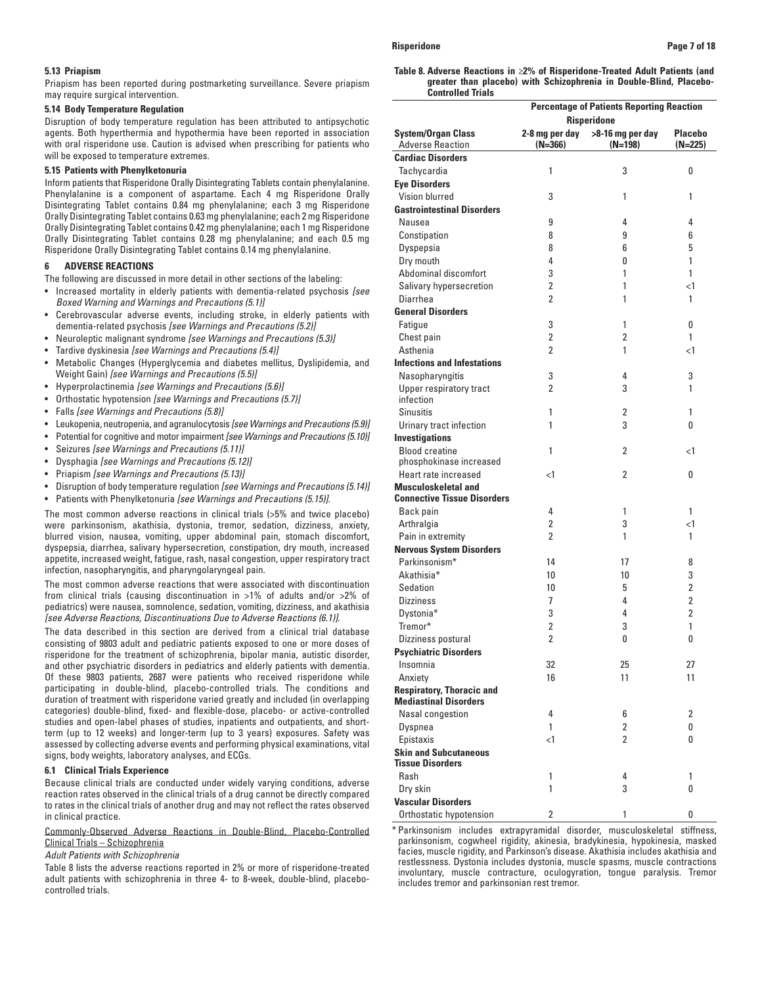### **5.13 Priapism**

Priapism has been reported during postmarketing surveillance. Severe priapism may require surgical intervention.

# **5.14 Body Temperature Regulation**

Disruption of body temperature regulation has been attributed to antipsychotic agents. Both hyperthermia and hypothermia have been reported in association with oral risperidone use. Caution is advised when prescribing for patients who will be exposed to temperature extremes.

## **5.15 Patients with Phenylketonuria**

Inform patients that Risperidone Orally Disintegrating Tablets contain phenylalanine. Phenylalanine is a component of aspartame. Each 4 mg Risperidone Orally Disintegrating Tablet contains 0.84 mg phenylalanine; each 3 mg Risperidone Orally Disintegrating Tablet contains 0.63 mg phenylalanine; each 2 mg Risperidone Orally Disintegrating Tablet contains 0.42 mg phenylalanine; each 1 mg Risperidone Orally Disintegrating Tablet contains 0.28 mg phenylalanine; and each 0.5 mg Risperidone Orally Disintegrating Tablet contains 0.14 mg phenylalanine.

# **6 ADVERSE REACTIONS**

- The following are discussed in more detail in other sections of the labeling:
- Increased mortality in elderly patients with dementia-related psychosis *[see Boxed Warning and Warnings and Precautions (5.1)]*
- Cerebrovascular adverse events, including stroke, in elderly patients with dementia-related psychosis *[see Warnings and Precautions (5.2)]*
- Neuroleptic malignant syndrome *[see Warnings and Precautions (5.3)]*
- Tardive dyskinesia *[see Warnings and Precautions (5.4)]*
- Metabolic Changes (Hyperglycemia and diabetes mellitus, Dyslipidemia, and Weight Gain) *[see Warnings and Precautions (5.5)]*
- Hyperprolactinemia *[see Warnings and Precautions (5.6)]*
- Orthostatic hypotension *[see Warnings and Precautions (5.7)]*
- Falls *[see Warnings and Precautions (5.8)]*
- Leukopenia, neutropenia, and agranulocytosis *[seeWarnings and Precautions (5.9)]*
- Potential for cognitive and motor impairment *[see Warnings and Precautions (5.10)]*
- Seizures *[see Warnings and Precautions (5.11)]*
- Dysphagia *[see Warnings and Precautions (5.12)]*
- Priapism *[see Warnings and Precautions (5.13)]*
- Disruption of body temperature regulation *[see Warnings and Precautions (5.14)]*
- Patients with Phenylketonuria *[see Warnings and Precautions (5.15)]*.

The most common adverse reactions in clinical trials (>5% and twice placebo) were parkinsonism, akathisia, dystonia, tremor, sedation, dizziness, anxiety, blurred vision, nausea, vomiting, upper abdominal pain, stomach discomfort, dyspepsia, diarrhea, salivary hypersecretion, constipation, dry mouth, increased appetite, increased weight, fatigue, rash, nasal congestion, upper respiratory tract infection, nasopharyngitis, and pharyngolaryngeal pain.

The most common adverse reactions that were associated with discontinuation from clinical trials (causing discontinuation in >1% of adults and/or >2% of pediatrics) were nausea, somnolence, sedation, vomiting, dizziness, and akathisia *[see Adverse Reactions, Discontinuations Due to Adverse Reactions (6.1)]*.

The data described in this section are derived from a clinical trial database consisting of 9803 adult and pediatric patients exposed to one or more doses of risperidone for the treatment of schizophrenia, bipolar mania, autistic disorder, and other psychiatric disorders in pediatrics and elderly patients with dementia. Of these 9803 patients, 2687 were patients who received risperidone while participating in double-blind, placebo-controlled trials. The conditions and duration of treatment with risperidone varied greatly and included (in overlapping categories) double-blind, fixed- and flexible-dose, placebo- or active-controlled studies and open-label phases of studies, inpatients and outpatients, and shortterm (up to 12 weeks) and longer-term (up to 3 years) exposures. Safety was assessed by collecting adverse events and performing physical examinations, vital signs, body weights, laboratory analyses, and ECGs.

### **6.1 Clinical Trials Experience**

Because clinical trials are conducted under widely varying conditions, adverse reaction rates observed in the clinical trials of a drug cannot be directly compared to rates in the clinical trials of another drug and may not reflect the rates observed in clinical practice.

Commonly-Observed Adverse Reactions in Double-Blind, Placebo-Controlled Clinical Trials – Schizophrenia

# *Adult Patients with Schizophrenia*

Table 8 lists the adverse reactions reported in 2% or more of risperidone-treated adult patients with schizophrenia in three 4- to 8-week, double-blind, placebocontrolled trials.

**Table 8. Adverse Reactions in** ≥**2% of Risperidone-Treated Adult Patients (and greater than placebo) with Schizophrenia in Double-Blind, Placebo-Controlled Trials**

|                                                      |                             | <b>Percentage of Patients Reporting Reaction</b> |                             |  |
|------------------------------------------------------|-----------------------------|--------------------------------------------------|-----------------------------|--|
|                                                      | <b>Risperidone</b>          |                                                  |                             |  |
| <b>System/Organ Class</b><br><b>Adverse Reaction</b> | 2-8 mg per day<br>$(N=366)$ | >8-16 mg per day<br>$(N=198)$                    | <b>Placebo</b><br>$(N=225)$ |  |
| <b>Cardiac Disorders</b>                             |                             |                                                  |                             |  |
| Tachycardia                                          | 1                           | 3                                                | 0                           |  |
| <b>Eye Disorders</b>                                 |                             |                                                  |                             |  |
| Vision blurred                                       | 3                           | 1                                                | 1                           |  |
| <b>Gastrointestinal Disorders</b>                    |                             |                                                  |                             |  |
| Nausea                                               | 9                           | 4                                                | 4                           |  |
| Constipation                                         | 8                           | 9                                                | 6                           |  |
| Dyspepsia                                            | 8                           | 6                                                | 5                           |  |
| Dry mouth                                            | 4                           | 0                                                | 1                           |  |
| Abdominal discomfort                                 | 3                           | 1                                                | 1                           |  |
| Salivary hypersecretion                              | 2                           | 1                                                | $\leq$ 1                    |  |
| Diarrhea                                             | $\overline{2}$              | 1                                                | 1                           |  |
| <b>General Disorders</b>                             |                             |                                                  |                             |  |
| Fatigue                                              | 3                           | 1                                                | 0                           |  |
| Chest pain                                           | $\overline{2}$              | 2                                                | $\mathbf{1}$                |  |
| Asthenia                                             | $\overline{2}$              | 1                                                | $\leq$ 1                    |  |
| <b>Infections and Infestations</b>                   |                             |                                                  |                             |  |
| Nasopharyngitis                                      | 3                           | 4                                                | 3                           |  |
| Upper respiratory tract                              | $\overline{2}$              | 3                                                | 1                           |  |
| infection                                            |                             |                                                  |                             |  |
| <b>Sinusitis</b>                                     | 1                           | 2                                                | 1                           |  |
| Urinary tract infection                              | 1                           | 3                                                | 0                           |  |
| <b>Investigations</b>                                |                             |                                                  |                             |  |
| <b>Blood creatine</b>                                | $\mathbf{1}$                | 2                                                | <1                          |  |
| phosphokinase increased                              |                             |                                                  |                             |  |
| Heart rate increased                                 | $<$ 1                       | 2                                                | 0                           |  |
| <b>Musculoskeletal and</b>                           |                             |                                                  |                             |  |
| <b>Connective Tissue Disorders</b>                   |                             |                                                  |                             |  |
| Back pain                                            | 4                           | 1                                                | 1                           |  |
| Arthralgia                                           | 2                           | 3                                                | $\leq$ 1                    |  |
| Pain in extremity                                    | $\overline{2}$              | 1                                                | 1                           |  |
| <b>Nervous System Disorders</b>                      |                             |                                                  |                             |  |
| Parkinsonism*                                        | 14                          | 17                                               | 8                           |  |
| Akathisia*                                           | 10                          | 10                                               | 3                           |  |
| Sedation                                             | 10                          | 5                                                | 2                           |  |
| <b>Dizziness</b>                                     | 7                           | 4                                                | $\overline{2}$              |  |
| Dystonia*                                            | 3                           | 4                                                | $\overline{2}$              |  |
| Tremor*                                              | $\overline{2}$              | 3                                                | 1                           |  |
| Dizziness postural                                   | 2                           | 0                                                | 0                           |  |
| <b>Psychiatric Disorders</b>                         |                             |                                                  |                             |  |
| Insomnia                                             | 32                          | 25                                               | 27                          |  |
| Anxiety                                              | 16                          | 11                                               | 11                          |  |
| <b>Respiratory, Thoracic and</b>                     |                             |                                                  |                             |  |
| <b>Mediastinal Disorders</b>                         |                             |                                                  |                             |  |
| Nasal congestion                                     | 4                           | 6                                                | 2                           |  |
| Dyspnea                                              | $\mathbf{1}$                | 2                                                | 0                           |  |
| Epistaxis                                            | $\leq$ 1                    | 2                                                | 0                           |  |
| <b>Skin and Subcutaneous</b>                         |                             |                                                  |                             |  |
| <b>Tissue Disorders</b>                              |                             |                                                  |                             |  |
| Rash                                                 | 1                           | 4                                                | 1                           |  |
| Dry skin                                             | $\mathbf{1}$                | 3                                                | 0                           |  |
| <b>Vascular Disorders</b>                            |                             |                                                  |                             |  |
| Orthostatic hypotension                              | 2                           | 1                                                | 0                           |  |

\* Parkinsonism includes extrapyramidal disorder, musculoskeletal stiffness, parkinsonism, cogwheel rigidity, akinesia, bradykinesia, hypokinesia, masked facies, muscle rigidity, and Parkinson's disease. Akathisia includes akathisia and restlessness. Dystonia includes dystonia, muscle spasms, muscle contractions involuntary, muscle contracture, oculogyration, tongue paralysis. Tremor includes tremor and parkinsonian rest tremor.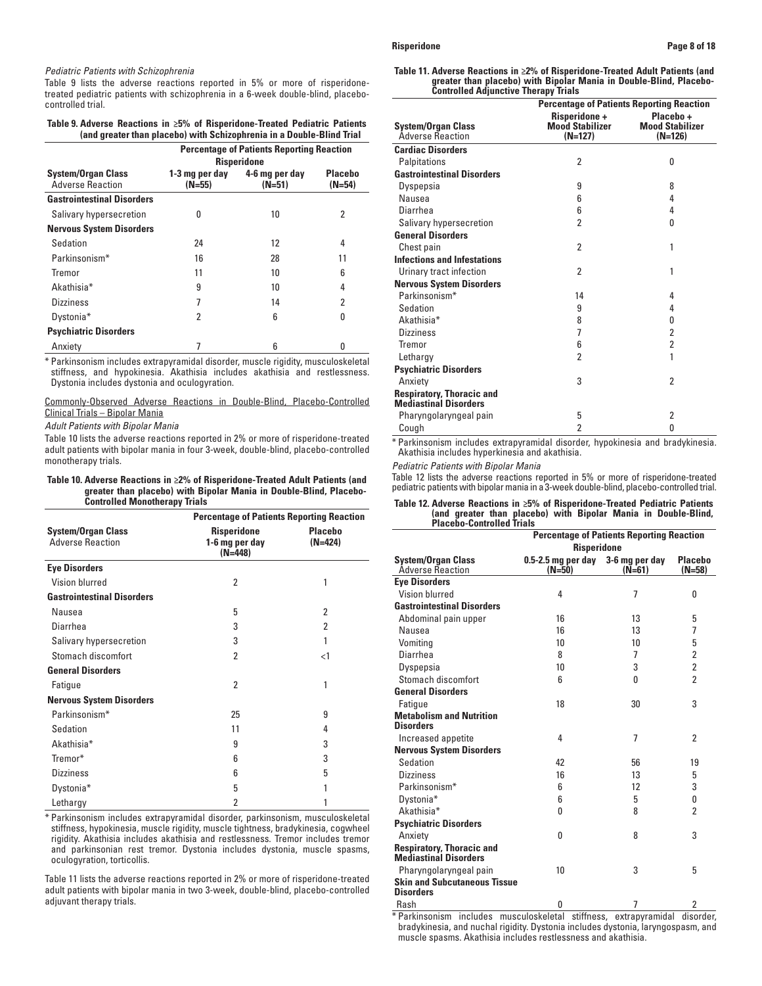# **Risperidone Page 8 of 18**

### *Pediatric Patients with Schizophrenia*

Table 9 lists the adverse reactions reported in 5% or more of risperidonetreated pediatric patients with schizophrenia in a 6-week double-blind, placebocontrolled trial.

### **Table 9. Adverse Reactions in ≥5% of Risperidone-Treated Pediatric Patients (and greater than placebo) with Schizophrenia in a Double-Blind Trial**

|                                                      | <b>Percentage of Patients Reporting Reaction</b><br><b>Risperidone</b> |                            |                            |  |
|------------------------------------------------------|------------------------------------------------------------------------|----------------------------|----------------------------|--|
| <b>System/Organ Class</b><br><b>Adverse Reaction</b> | 1-3 mg per day<br>$(N=55)$                                             | 4-6 mg per day<br>$(N=51)$ | <b>Placebo</b><br>$(N=54)$ |  |
| <b>Gastrointestinal Disorders</b>                    |                                                                        |                            |                            |  |
| Salivary hypersecretion                              | N                                                                      | 10                         | 2                          |  |
| <b>Nervous System Disorders</b>                      |                                                                        |                            |                            |  |
| Sedation                                             | 24                                                                     | 12                         | 4                          |  |
| Parkinsonism*                                        | 16                                                                     | 28                         | 11                         |  |
| Tremor                                               | 11                                                                     | 10                         | 6                          |  |
| Akathisia <sup>*</sup>                               | 9                                                                      | 10                         | 4                          |  |
| <b>Dizziness</b>                                     |                                                                        | 14                         | 2                          |  |
| Dystonia*                                            | 2                                                                      | 6                          | 0                          |  |
| <b>Psychiatric Disorders</b>                         |                                                                        |                            |                            |  |
| Anxiety                                              |                                                                        | 6                          | O                          |  |

\* Parkinsonism includes extrapyramidal disorder, muscle rigidity, musculoskeletal stiffness, and hypokinesia. Akathisia includes akathisia and restlessness. Dystonia includes dystonia and oculogyration.

# Commonly-Observed Adverse Reactions in Double-Blind, Placebo-Controlled Clinical Trials – Bipolar Mania

*Adult Patients with Bipolar Mania*

Table 10 lists the adverse reactions reported in 2% or more of risperidone-treated adult patients with bipolar mania in four 3-week, double-blind, placebo-controlled monotherapy trials.

## **Table 10. Adverse Reactions in ≥2% of Risperidone-Treated Adult Patients (and greater than placebo) with Bipolar Mania in Double-Blind, Placebo-Controlled Monotherapy Trials**

|                                                      | <b>Percentage of Patients Reporting Reaction</b>  |                             |  |  |
|------------------------------------------------------|---------------------------------------------------|-----------------------------|--|--|
| <b>System/Organ Class</b><br><b>Adverse Reaction</b> | <b>Risperidone</b><br>1-6 mg per day<br>$(N=448)$ | <b>Placebo</b><br>$(N=424)$ |  |  |
| <b>Eye Disorders</b>                                 |                                                   |                             |  |  |
| Vision blurred                                       | $\overline{2}$                                    | 1                           |  |  |
| <b>Gastrointestinal Disorders</b>                    |                                                   |                             |  |  |
| Nausea                                               | 5                                                 | 2                           |  |  |
| Diarrhea                                             | 3                                                 | $\overline{2}$              |  |  |
| Salivary hypersecretion                              | 3                                                 | 1                           |  |  |
| Stomach discomfort                                   | $\overline{2}$                                    | $\leq$ 1                    |  |  |
| <b>General Disorders</b>                             |                                                   |                             |  |  |
| Fatigue                                              | $\overline{2}$                                    | 1                           |  |  |
| <b>Nervous System Disorders</b>                      |                                                   |                             |  |  |
| Parkinsonism*                                        | 25                                                | 9                           |  |  |
| Sedation                                             | 11                                                | 4                           |  |  |
| Akathisia*                                           | 9                                                 | 3                           |  |  |
| Tremor*                                              | 6                                                 | 3                           |  |  |
| <b>Dizziness</b>                                     | 6                                                 | 5                           |  |  |
| Dystonia*                                            | 5                                                 | 1                           |  |  |
| Lethargy                                             | 2                                                 | 1                           |  |  |

\* Parkinsonism includes extrapyramidal disorder, parkinsonism, musculoskeletal stiffness, hypokinesia, muscle rigidity, muscle tightness, bradykinesia, cogwheel rigidity. Akathisia includes akathisia and restlessness. Tremor includes tremor and parkinsonian rest tremor. Dystonia includes dystonia, muscle spasms, oculogyration, torticollis.

Table 11 lists the adverse reactions reported in 2% or more of risperidone-treated adult patients with bipolar mania in two 3-week, double-blind, placebo-controlled adjuvant therapy trials.

| Table 11. Adverse Reactions in ≥2% of Risperidone-Treated Adult Patients (and |
|-------------------------------------------------------------------------------|
| greater than placebo) with Bipolar Mania in Double-Blind, Placebo-            |
| <b>Controlled Adjunctive Therapy Trials</b>                                   |

|                                                                  | <b>Percentage of Patients Reporting Reaction</b>            |                                                  |  |
|------------------------------------------------------------------|-------------------------------------------------------------|--------------------------------------------------|--|
| <b>System/Organ Class</b><br><b>Adverse Reaction</b>             | <b>Risperidone +</b><br><b>Mood Stabilizer</b><br>$(N=127)$ | Placebo +<br><b>Mood Stabilizer</b><br>$(N=126)$ |  |
| <b>Cardiac Disorders</b>                                         |                                                             |                                                  |  |
| Palpitations                                                     | $\overline{2}$                                              | 0                                                |  |
| <b>Gastrointestinal Disorders</b>                                |                                                             |                                                  |  |
| Dyspepsia                                                        | 9                                                           | 8                                                |  |
| Nausea                                                           | 6                                                           | 4                                                |  |
| Diarrhea                                                         | 6                                                           | 4                                                |  |
| Salivary hypersecretion                                          | 2                                                           | 0                                                |  |
| <b>General Disorders</b>                                         |                                                             |                                                  |  |
| Chest pain                                                       | $\overline{2}$                                              | 1                                                |  |
| <b>Infections and Infestations</b>                               |                                                             |                                                  |  |
| Urinary tract infection                                          | $\overline{2}$                                              | 1                                                |  |
| <b>Nervous System Disorders</b>                                  |                                                             |                                                  |  |
| Parkinsonism*                                                    | 14                                                          | 4                                                |  |
| Sedation                                                         | 9                                                           | 4                                                |  |
| Akathisia <sup>*</sup>                                           | 8                                                           | 0                                                |  |
| <b>Dizziness</b>                                                 | 7                                                           | 2                                                |  |
| Tremor                                                           | 6                                                           | $\overline{2}$                                   |  |
| Lethargy                                                         | $\overline{2}$                                              | 1                                                |  |
| <b>Psychiatric Disorders</b>                                     |                                                             |                                                  |  |
| Anxiety                                                          | 3                                                           | 2                                                |  |
| <b>Respiratory, Thoracic and</b><br><b>Mediastinal Disorders</b> |                                                             |                                                  |  |
| Pharyngolaryngeal pain                                           | 5                                                           | $\overline{2}$                                   |  |
| Cough                                                            | $\overline{2}$                                              | 0                                                |  |

\* Parkinsonism includes extrapyramidal disorder, hypokinesia and bradykinesia. Akathisia includes hyperkinesia and akathisia.

# *Pediatric Patients with Bipolar Mania*

Table 12 lists the adverse reactions reported in 5% or more of risperidone-treated pediatric patients with bipolar mania in a 3-week double-blind, placebo-controlled trial.

### **Table 12. Adverse Reactions in ≥5% of Risperidone-Treated Pediatric Patients (and greater than placebo) with Bipolar Mania in Double-Blind, Placebo-Controlled Trials**

|                                                                  | <b>Percentage of Patients Reporting Reaction</b> |                |                            |  |
|------------------------------------------------------------------|--------------------------------------------------|----------------|----------------------------|--|
|                                                                  | <b>Risperidone</b>                               |                |                            |  |
| <b>System/Organ Class</b><br><b>Adverse Reaction</b>             | 0.5-2.5 mg per day 3-6 mg per day<br>$(N=50)$    | $(N=61)$       | <b>Placebo</b><br>$(N=58)$ |  |
| <b>Eye Disorders</b>                                             |                                                  |                |                            |  |
| Vision blurred                                                   | 4                                                | 7              | 0                          |  |
| <b>Gastrointestinal Disorders</b>                                |                                                  |                |                            |  |
| Abdominal pain upper                                             | 16                                               | 13             | 5                          |  |
| Nausea                                                           | 16                                               | 13             | 7                          |  |
| Vomiting                                                         | 10                                               | 10             | 5                          |  |
| Diarrhea                                                         | 8                                                | 7              | $\overline{2}$             |  |
| Dyspepsia                                                        | 10                                               | 3              | $\overline{2}$             |  |
| Stomach discomfort                                               | 6                                                | 0              | $\mathfrak{p}$             |  |
| <b>General Disorders</b>                                         |                                                  |                |                            |  |
| Fatique                                                          | 18                                               | 30             | 3                          |  |
| <b>Metabolism and Nutrition</b>                                  |                                                  |                |                            |  |
| <b>Disorders</b>                                                 |                                                  |                |                            |  |
| Increased appetite                                               | 4                                                | $\overline{7}$ | 2                          |  |
| <b>Nervous System Disorders</b>                                  |                                                  |                |                            |  |
| Sedation                                                         | 42                                               | 56             | 19                         |  |
| <b>Dizziness</b>                                                 | 16                                               | 13             | 5                          |  |
| Parkinsonism*                                                    | 6                                                | 12             | 3                          |  |
| Dystonia*                                                        | 6                                                | 5              | 0                          |  |
| Akathisia*                                                       | 0                                                | 8              | $\overline{2}$             |  |
| <b>Psychiatric Disorders</b>                                     |                                                  |                |                            |  |
| Anxiety                                                          | 0                                                | 8              | 3                          |  |
| <b>Respiratory, Thoracic and</b><br><b>Mediastinal Disorders</b> |                                                  |                |                            |  |
| Pharyngolaryngeal pain                                           | 10                                               | 3              | 5                          |  |
| <b>Skin and Subcutaneous Tissue</b><br><b>Disorders</b>          |                                                  |                |                            |  |
| Rash<br>$+ - -$                                                  | 0<br>.                                           | 7<br>$\cdots$  | 2                          |  |

Parkinsonism includes musculoskeletal stiffness, extrapyramidal disorder, bradykinesia, and nuchal rigidity. Dystonia includes dystonia, laryngospasm, and muscle spasms. Akathisia includes restlessness and akathisia.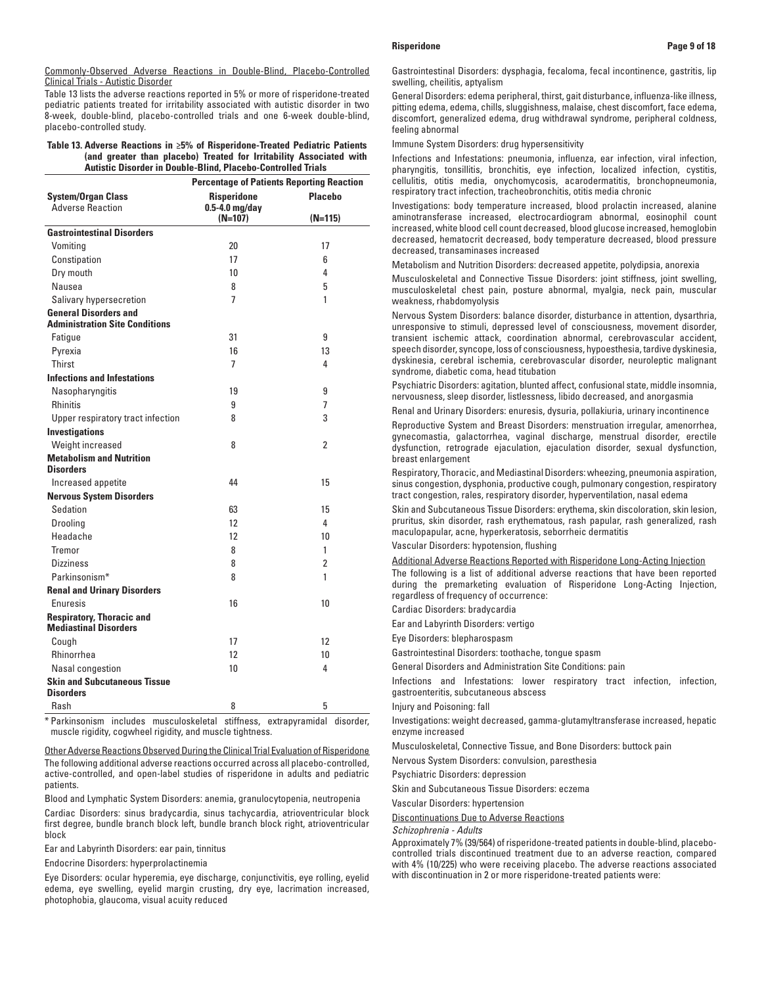Table 13 lists the adverse reactions reported in 5% or more of risperidone-treated pediatric patients treated for irritability associated with autistic disorder in two 8-week, double-blind, placebo-controlled trials and one 6-week double-blind, placebo-controlled study.

# **Table 13. Adverse Reactions in ≥5% of Risperidone-Treated Pediatric Patients (and greater than placebo) Treated for Irritability Associated with Autistic Disorder in Double-Blind, Placebo-Controlled Trials**

|                                                                       | <b>Percentage of Patients Reporting Reaction</b> |                 |  |
|-----------------------------------------------------------------------|--------------------------------------------------|-----------------|--|
| <b>System/Organ Class</b><br><b>Adverse Reaction</b>                  | <b>Risperidone</b><br>$0.5-4.0$ mg/day           | Placebo         |  |
|                                                                       | $(N=107)$                                        | $(N=115)$       |  |
| <b>Gastrointestinal Disorders</b>                                     |                                                  |                 |  |
| Vomiting                                                              | 20                                               | 17              |  |
| Constipation                                                          | 17                                               | 6               |  |
| Dry mouth                                                             | 10                                               | 4               |  |
| Nausea                                                                | 8                                                | 5               |  |
| Salivary hypersecretion                                               | 7                                                | 1               |  |
| <b>General Disorders and</b><br><b>Administration Site Conditions</b> |                                                  |                 |  |
| Fatigue                                                               | 31                                               | 9               |  |
| Pyrexia                                                               | 16                                               | 13              |  |
| Thirst                                                                | 7                                                | 4               |  |
| <b>Infections and Infestations</b>                                    |                                                  |                 |  |
| Nasopharyngitis                                                       | 19                                               | 9               |  |
| <b>Rhinitis</b>                                                       | 9                                                | 7               |  |
| Upper respiratory tract infection                                     | 8                                                | 3               |  |
| <b>Investigations</b>                                                 |                                                  |                 |  |
| Weight increased                                                      | 8                                                | $\overline{2}$  |  |
| <b>Metabolism and Nutrition</b>                                       |                                                  |                 |  |
| <b>Disorders</b>                                                      |                                                  |                 |  |
| Increased appetite                                                    | 44                                               | 15              |  |
| <b>Nervous System Disorders</b>                                       |                                                  |                 |  |
| Sedation                                                              | 63                                               | 15              |  |
| <b>Drooling</b>                                                       | 12                                               | 4               |  |
| Headache                                                              | 12                                               | 10              |  |
| <b>Tremor</b>                                                         | 8                                                | 1               |  |
| <b>Dizziness</b>                                                      | 8                                                | $\overline{2}$  |  |
| Parkinsonism*                                                         | 8                                                | 1               |  |
| <b>Renal and Urinary Disorders</b>                                    |                                                  |                 |  |
| Enuresis                                                              | 16                                               | 10 <sup>1</sup> |  |
| <b>Respiratory, Thoracic and</b><br><b>Mediastinal Disorders</b>      |                                                  |                 |  |
| Cough                                                                 | 17                                               | 12              |  |
| Rhinorrhea                                                            | 12                                               | 10 <sup>1</sup> |  |
| Nasal congestion                                                      | 10 <sup>1</sup>                                  | 4               |  |
| <b>Skin and Subcutaneous Tissue</b><br><b>Disorders</b>               |                                                  |                 |  |
| Rash                                                                  | 8                                                | 5               |  |

\* Parkinsonism includes musculoskeletal stiffness, extrapyramidal disorder, muscle rigidity, cogwheel rigidity, and muscle tightness.

Other Adverse Reactions Observed During the Clinical Trial Evaluation of Risperidone The following additional adverse reactions occurred across all placebo-controlled, active-controlled, and open-label studies of risperidone in adults and pediatric patients.

Blood and Lymphatic System Disorders: anemia, granulocytopenia, neutropenia Cardiac Disorders: sinus bradycardia, sinus tachycardia, atrioventricular block first degree, bundle branch block left, bundle branch block right, atrioventricular block

Ear and Labyrinth Disorders: ear pain, tinnitus

Endocrine Disorders: hyperprolactinemia

Eye Disorders: ocular hyperemia, eye discharge, conjunctivitis, eye rolling, eyelid edema, eye swelling, eyelid margin crusting, dry eye, lacrimation increased, photophobia, glaucoma, visual acuity reduced

Gastrointestinal Disorders: dysphagia, fecaloma, fecal incontinence, gastritis, lip swelling, cheilitis, aptyalism

General Disorders: edema peripheral, thirst, gait disturbance, influenza-like illness, pitting edema, edema, chills, sluggishness, malaise, chest discomfort, face edema, discomfort, generalized edema, drug withdrawal syndrome, peripheral coldness, feeling abnormal

Immune System Disorders: drug hypersensitivity

Infections and Infestations: pneumonia, influenza, ear infection, viral infection, pharyngitis, tonsillitis, bronchitis, eye infection, localized infection, cystitis, cellulitis, otitis media, onychomycosis, acarodermatitis, bronchopneumonia, respiratory tract infection, tracheobronchitis, otitis media chronic

Investigations: body temperature increased, blood prolactin increased, alanine aminotransferase increased, electrocardiogram abnormal, eosinophil count increased, white blood cell count decreased, blood glucose increased, hemoglobin decreased, hematocrit decreased, body temperature decreased, blood pressure decreased, transaminases increased

Metabolism and Nutrition Disorders: decreased appetite, polydipsia, anorexia

Musculoskeletal and Connective Tissue Disorders: joint stiffness, joint swelling, musculoskeletal chest pain, posture abnormal, myalgia, neck pain, muscular weakness, rhabdomyolysis

Nervous System Disorders: balance disorder, disturbance in attention, dysarthria, unresponsive to stimuli, depressed level of consciousness, movement disorder, transient ischemic attack, coordination abnormal, cerebrovascular accident, speech disorder, syncope, loss of consciousness, hypoesthesia, tardive dyskinesia, dyskinesia, cerebral ischemia, cerebrovascular disorder, neuroleptic malignant syndrome, diabetic coma, head titubation

Psychiatric Disorders: agitation, blunted affect, confusional state, middle insomnia, nervousness, sleep disorder, listlessness, libido decreased, and anorgasmia

Renal and Urinary Disorders: enuresis, dysuria, pollakiuria, urinary incontinence

Reproductive System and Breast Disorders: menstruation irregular, amenorrhea, gynecomastia, galactorrhea, vaginal discharge, menstrual disorder, erectile dysfunction, retrograde ejaculation, ejaculation disorder, sexual dysfunction, breast enlargement

Respiratory, Thoracic, and Mediastinal Disorders: wheezing, pneumonia aspiration, sinus congestion, dysphonia, productive cough, pulmonary congestion, respiratory tract congestion, rales, respiratory disorder, hyperventilation, nasal edema

Skin and Subcutaneous Tissue Disorders: erythema, skin discoloration, skin lesion, pruritus, skin disorder, rash erythematous, rash papular, rash generalized, rash maculopapular, acne, hyperkeratosis, seborrheic dermatitis

Vascular Disorders: hypotension, flushing

Additional Adverse Reactions Reported with Risperidone Long-Acting Injection The following is a list of additional adverse reactions that have been reported during the premarketing evaluation of Risperidone Long-Acting Injection, regardless of frequency of occurrence:

Cardiac Disorders: bradycardia

Ear and Labyrinth Disorders: vertigo

Eye Disorders: blepharospasm

Gastrointestinal Disorders: toothache, tongue spasm

General Disorders and Administration Site Conditions: pain

Infections and Infestations: lower respiratory tract infection, infection, gastroenteritis, subcutaneous abscess

Injury and Poisoning: fall

Investigations: weight decreased, gamma-glutamyltransferase increased, hepatic enzyme increased

Musculoskeletal, Connective Tissue, and Bone Disorders: buttock pain

Nervous System Disorders: convulsion, paresthesia

Psychiatric Disorders: depression

Skin and Subcutaneous Tissue Disorders: eczema

Vascular Disorders: hypertension

Discontinuations Due to Adverse Reactions

*Schizophrenia - Adults*

Approximately 7% (39/564) of risperidone-treated patients in double-blind, placebocontrolled trials discontinued treatment due to an adverse reaction, compared with 4% (10/225) who were receiving placebo. The adverse reactions associated with discontinuation in 2 or more risperidone-treated patients were: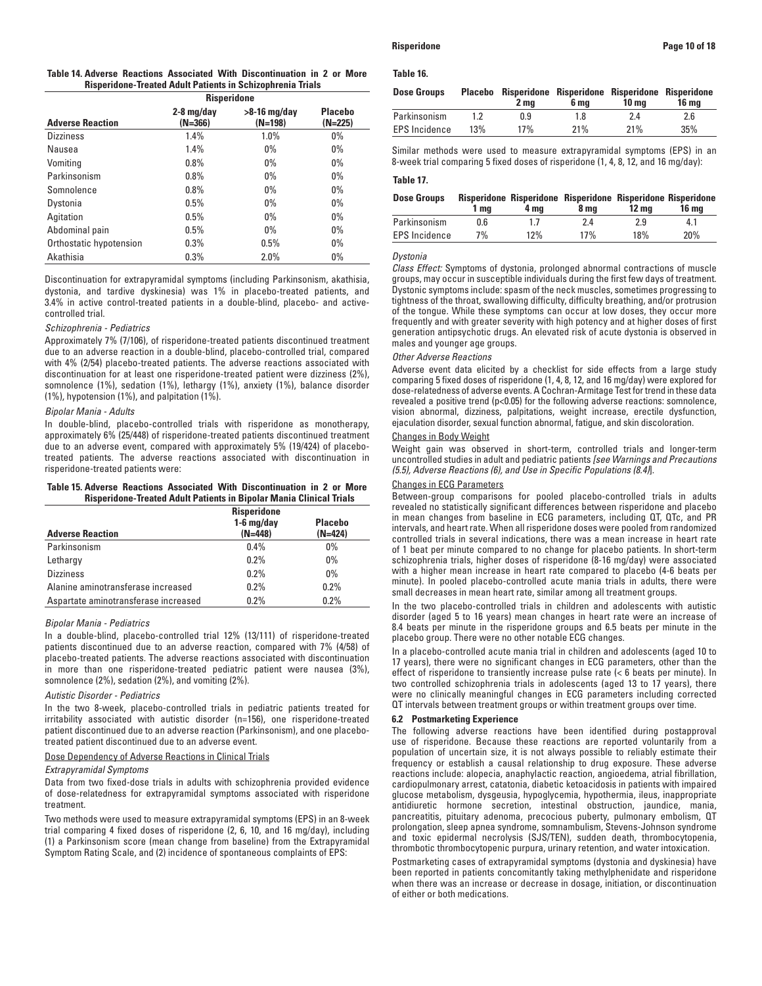|                         | <b>Risperidone</b>        |                             |                             |
|-------------------------|---------------------------|-----------------------------|-----------------------------|
| <b>Adverse Reaction</b> | $2-8$ mg/day<br>$(N=366)$ | $>8-16$ mg/day<br>$(N=198)$ | <b>Placebo</b><br>$(N=225)$ |
| <b>Dizziness</b>        | 1.4%                      | 1.0%                        | $0\%$                       |
| Nausea                  | 1.4%                      | $0\%$                       | $0\%$                       |
| Vomiting                | 0.8%                      | $0\%$                       | $0\%$                       |
| Parkinsonism            | 0.8%                      | $0\%$                       | $0\%$                       |
| Somnolence              | 0.8%                      | $0\%$                       | $0\%$                       |
| Dystonia                | 0.5%                      | $0\%$                       | $0\%$                       |
| Agitation               | 0.5%                      | $0\%$                       | $0\%$                       |
| Abdominal pain          | 0.5%                      | $0\%$                       | $0\%$                       |
| Orthostatic hypotension | 0.3%                      | 0.5%                        | $0\%$                       |
| Akathisia               | 0.3%                      | 2.0%                        | $0\%$                       |

Discontinuation for extrapyramidal symptoms (including Parkinsonism, akathisia, dystonia, and tardive dyskinesia) was 1% in placebo-treated patients, and 3.4% in active control-treated patients in a double-blind, placebo- and activecontrolled trial.

## *Schizophrenia - Pediatrics*

Approximately 7% (7/106), of risperidone-treated patients discontinued treatment due to an adverse reaction in a double-blind, placebo-controlled trial, compared with 4% (2/54) placebo-treated patients. The adverse reactions associated with discontinuation for at least one risperidone-treated patient were dizziness (2%), somnolence (1%), sedation (1%), lethargy (1%), anxiety (1%), balance disorder (1%), hypotension (1%), and palpitation (1%).

### *Bipolar Mania - Adults*

In double-blind, placebo-controlled trials with risperidone as monotherapy, approximately 6% (25/448) of risperidone-treated patients discontinued treatment due to an adverse event, compared with approximately 5% (19/424) of placebotreated patients. The adverse reactions associated with discontinuation in risperidone-treated patients were:

# **Table 15. Adverse Reactions Associated With Discontinuation in 2 or More Risperidone-Treated Adult Patients in Bipolar Mania Clinical Trials**

| <b>Adverse Reaction</b>              | <b>Risperidone</b><br>$1-6$ mg/day<br>$(N=448)$ | <b>Placebo</b><br>(N=424) |
|--------------------------------------|-------------------------------------------------|---------------------------|
| Parkinsonism                         | 0.4%                                            | $0\%$                     |
| Lethargy                             | 0.2%                                            | $0\%$                     |
| <b>Dizziness</b>                     | 0.2%                                            | 0%                        |
| Alanine aminotransferase increased   | 0.2%                                            | 0.2%                      |
| Aspartate aminotransferase increased | 0.2%                                            | 0.2%                      |

### *Bipolar Mania - Pediatrics*

In a double-blind, placebo-controlled trial 12% (13/111) of risperidone-treated patients discontinued due to an adverse reaction, compared with 7% (4/58) of placebo-treated patients. The adverse reactions associated with discontinuation in more than one risperidone-treated pediatric patient were nausea (3%), somnolence (2%), sedation (2%), and vomiting (2%).

## *Autistic Disorder - Pediatrics*

In the two 8-week, placebo-controlled trials in pediatric patients treated for irritability associated with autistic disorder (n=156), one risperidone-treated patient discontinued due to an adverse reaction (Parkinsonism), and one placebotreated patient discontinued due to an adverse event.

### Dose Dependency of Adverse Reactions in Clinical Trials

### *Extrapyramidal Symptoms*

Data from two fixed-dose trials in adults with schizophrenia provided evidence of dose-relatedness for extrapyramidal symptoms associated with risperidone treatment.

Two methods were used to measure extrapyramidal symptoms (EPS) in an 8-week trial comparing 4 fixed doses of risperidone (2, 6, 10, and 16 mg/day), including (1) a Parkinsonism score (mean change from baseline) from the Extrapyramidal Symptom Rating Scale, and (2) incidence of spontaneous complaints of EPS:

## **Table 16.**

| <b>Dose Groups</b>   |     | Placebo Risperidone Risperidone Risperidone Risperidone<br>2 ma | 6 ma | 10 ma | 16 ma |
|----------------------|-----|-----------------------------------------------------------------|------|-------|-------|
| Parkinsonism         |     | 0.9                                                             | 1.8  | 2.4   | 2.6   |
| <b>EPS</b> Incidence | 13% | 17%                                                             | 21%  | 21%   | 35%   |

Similar methods were used to measure extrapyramidal symptoms (EPS) in an 8-week trial comparing 5 fixed doses of risperidone (1, 4, 8, 12, and 16 mg/day):

### **Table 17.**

| <b>Dose Groups</b>   | 1 ma | 4 ma | Risperidone Risperidone Risperidone Risperidone Risperidone<br>8 ma | 12 <sub>mg</sub> | <b>16 mg</b> |
|----------------------|------|------|---------------------------------------------------------------------|------------------|--------------|
| Parkinsonism         | 0.6  | 1.7  | 2.4                                                                 | 2.9              | 4.1          |
| <b>EPS Incidence</b> | 7%   | 12%  | 17%                                                                 | 18%              | 20%          |

## *Dystonia*

*Class Effect:* Symptoms of dystonia, prolonged abnormal contractions of muscle groups, may occur in susceptible individuals during the first few days of treatment. Dystonic symptoms include: spasm of the neck muscles, sometimes progressing to tightness of the throat, swallowing difficulty, difficulty breathing, and/or protrusion of the tongue. While these symptoms can occur at low doses, they occur more frequently and with greater severity with high potency and at higher doses of first generation antipsychotic drugs. An elevated risk of acute dystonia is observed in males and younger age groups.

### *Other Adverse Reactions*

Adverse event data elicited by a checklist for side effects from a large study comparing 5 fixed doses of risperidone (1, 4, 8, 12, and 16 mg/day) were explored for dose-relatedness of adverse events. A Cochran-Armitage Test for trend in these data revealed a positive trend (p<0.05) for the following adverse reactions: somnolence, vision abnormal, dizziness, palpitations, weight increase, erectile dysfunction, ejaculation disorder, sexual function abnormal, fatigue, and skin discoloration.

# Changes in Body Weight

Weight gain was observed in short-term, controlled trials and longer-term uncontrolled studies in adult and pediatric patients *[see Warnings and Precautions (5.5), Adverse Reactions (6), and Use in Specific Populations (8.4)*].

### Changes in ECG Parameters

Between-group comparisons for pooled placebo-controlled trials in adults revealed no statistically significant differences between risperidone and placebo in mean changes from baseline in ECG parameters, including QT, QTc, and PR intervals, and heart rate. When all risperidone doses were pooled from randomized controlled trials in several indications, there was a mean increase in heart rate of 1 beat per minute compared to no change for placebo patients. In short-term schizophrenia trials, higher doses of risperidone (8-16 mg/day) were associated with a higher mean increase in heart rate compared to placebo (4-6 beats per minute). In pooled placebo-controlled acute mania trials in adults, there were small decreases in mean heart rate, similar among all treatment groups.

In the two placebo-controlled trials in children and adolescents with autistic disorder (aged 5 to 16 years) mean changes in heart rate were an increase of 8.4 beats per minute in the risperidone groups and 6.5 beats per minute in the placebo group. There were no other notable ECG changes.

In a placebo-controlled acute mania trial in children and adolescents (aged 10 to 17 years), there were no significant changes in ECG parameters, other than the effect of risperidone to transiently increase pulse rate (< 6 beats per minute). In two controlled schizophrenia trials in adolescents (aged 13 to 17 years), there were no clinically meaningful changes in ECG parameters including corrected QT intervals between treatment groups or within treatment groups over time.

### **6.2 Postmarketing Experience**

The following adverse reactions have been identified during postapproval use of risperidone. Because these reactions are reported voluntarily from a population of uncertain size, it is not always possible to reliably estimate their frequency or establish a causal relationship to drug exposure. These adverse reactions include: alopecia, anaphylactic reaction, angioedema, atrial fibrillation, cardiopulmonary arrest, catatonia, diabetic ketoacidosis in patients with impaired glucose metabolism, dysgeusia, hypoglycemia, hypothermia, ileus, inappropriate antidiuretic hormone secretion, intestinal obstruction, jaundice, mania, pancreatitis, pituitary adenoma, precocious puberty, pulmonary embolism, QT prolongation, sleep apnea syndrome, somnambulism, Stevens-Johnson syndrome and toxic epidermal necrolysis (SJS/TEN), sudden death, thrombocytopenia, thrombotic thrombocytopenic purpura, urinary retention, and water intoxication.

Postmarketing cases of extrapyramidal symptoms (dystonia and dyskinesia) have been reported in patients concomitantly taking methylphenidate and risperidone when there was an increase or decrease in dosage, initiation, or discontinuation of either or both medications.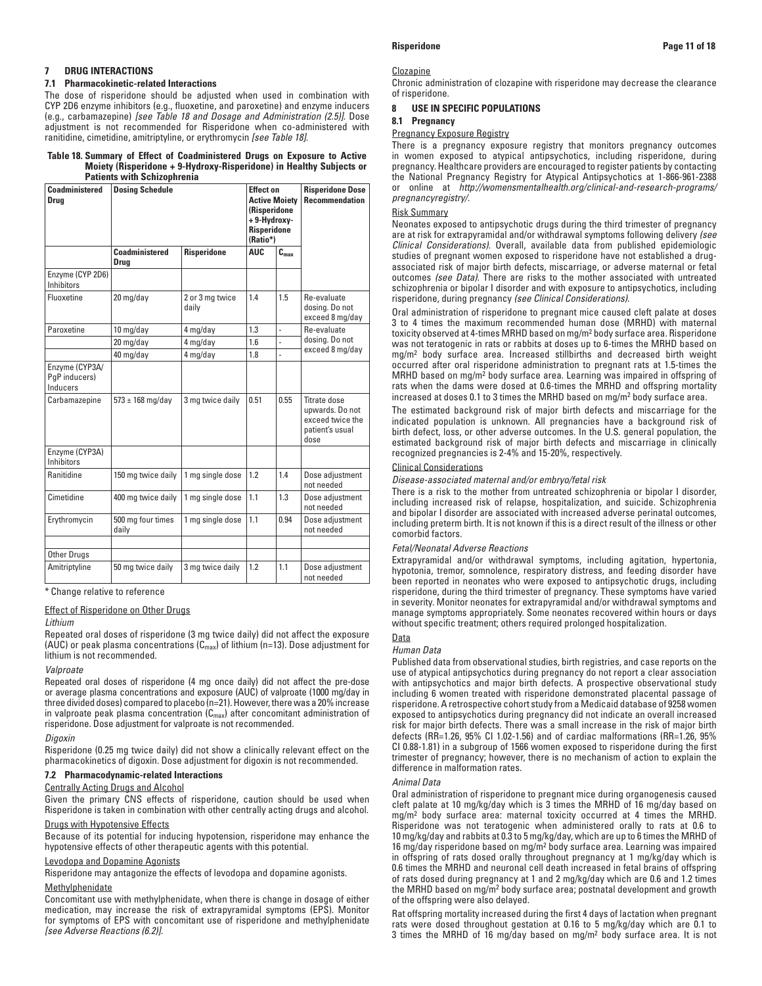# **7 DRUG INTERACTIONS**

# **7.1 Pharmacokinetic-related Interactions**

The dose of risperidone should be adjusted when used in combination with CYP 2D6 enzyme inhibitors (e.g., fluoxetine, and paroxetine) and enzyme inducers (e.g., carbamazepine) *[see Table 18 and Dosage and Administration (2.5)]*. Dose adjustment is not recommended for Risperidone when co-administered with ranitidine, cimetidine, amitriptyline, or erythromycin *[see Table 18]*.

### **Table 18. Summary of Effect of Coadministered Drugs on Exposure to Active Moiety (Risperidone + 9-Hydroxy-Risperidone) in Healthy Subjects or Patients with Schizophrenia**

| Coadministered<br>Drug                      | <b>Dosing Schedule</b>          |                          | <b>Effect on</b><br><b>Active Moiety</b><br>(Risperidone<br>+9-Hydroxy-<br><b>Risperidone</b><br>(Ratio*) |               | <b>Risperidone Dose</b><br><b>Recommendation</b>                               |
|---------------------------------------------|---------------------------------|--------------------------|-----------------------------------------------------------------------------------------------------------|---------------|--------------------------------------------------------------------------------|
|                                             | Coadministered<br>Drug          | <b>Risperidone</b>       | <b>AUC</b>                                                                                                | $C_{\rm max}$ |                                                                                |
| Enzyme (CYP 2D6)<br><b>Inhibitors</b>       |                                 |                          |                                                                                                           |               |                                                                                |
| Fluoxetine                                  | 20 mg/day                       | 2 or 3 mg twice<br>daily | 1.4                                                                                                       | 1.5           | Re-evaluate<br>dosing. Do not<br>exceed 8 mg/day                               |
| Paroxetine                                  | 10 mg/day                       | 4 mg/day                 | 1.3                                                                                                       | L.            | Re-evaluate                                                                    |
|                                             | 20 mg/day                       | 4 mg/day                 | 1.6                                                                                                       |               | dosing. Do not                                                                 |
|                                             | 40 mg/day                       | 4 mg/day                 | 1.8                                                                                                       | ÷,            | exceed 8 mg/day                                                                |
| Enzyme (CYP3A/<br>PqP inducers)<br>Inducers |                                 |                          |                                                                                                           |               |                                                                                |
| Carbamazepine                               | $573 \pm 168 \,\mathrm{mg/day}$ | 3 mg twice daily         | 0.51                                                                                                      | 0.55          | Titrate dose<br>upwards. Do not<br>exceed twice the<br>patient's usual<br>dose |
| Enzyme (CYP3A)<br><b>Inhibitors</b>         |                                 |                          |                                                                                                           |               |                                                                                |
| <b>Ranitidine</b>                           | 150 mg twice daily              | 1 mg single dose         | 1.2                                                                                                       | 1.4           | Dose adjustment<br>not needed                                                  |
| Cimetidine                                  | 400 mg twice daily              | 1 mg single dose         | 1.1                                                                                                       | 1.3           | Dose adjustment<br>not needed                                                  |
| Erythromycin                                | 500 mg four times<br>daily      | 1 mg single dose         | 1.1                                                                                                       | 0.94          | Dose adjustment<br>not needed                                                  |
|                                             |                                 |                          |                                                                                                           |               |                                                                                |
| Other Drugs                                 |                                 |                          |                                                                                                           |               |                                                                                |
| Amitriptyline                               | 50 mg twice daily               | 3 mg twice daily         | 1.2                                                                                                       | 1.1           | Dose adjustment<br>not needed                                                  |

\* Change relative to reference

# Effect of Risperidone on Other Drugs

### *Lithium*

Repeated oral doses of risperidone (3 mg twice daily) did not affect the exposure (AUC) or peak plasma concentrations  $(C_{max})$  of lithium (n=13). Dose adjustment for lithium is not recommended.

### *Valproate*

Repeated oral doses of risperidone (4 mg once daily) did not affect the pre-dose or average plasma concentrations and exposure (AUC) of valproate (1000 mg/day in three divided doses) compared to placebo (n=21). However, there was a 20% increase in valproate peak plasma concentration  $(C_{\text{max}})$  after concomitant administration of risperidone. Dose adjustment for valproate is not recommended.

### *Digoxin*

Risperidone (0.25 mg twice daily) did not show a clinically relevant effect on the pharmacokinetics of digoxin. Dose adjustment for digoxin is not recommended.

# **7.2 Pharmacodynamic-related Interactions**

### Centrally Acting Drugs and Alcohol

Given the primary CNS effects of risperidone, caution should be used when Risperidone is taken in combination with other centrally acting drugs and alcohol.

### Drugs with Hypotensive Effects

Because of its potential for inducing hypotension, risperidone may enhance the hypotensive effects of other therapeutic agents with this potential.

## Levodopa and Dopamine Agonists

Risperidone may antagonize the effects of levodopa and dopamine agonists.

## **Methylphenidate**

Concomitant use with methylphenidate, when there is change in dosage of either medication, may increase the risk of extrapyramidal symptoms (EPS). Monitor for symptoms of EPS with concomitant use of risperidone and methylphenidate *[see Adverse Reactions (6.2)].*

### **Clozapine**

Chronic administration of clozapine with risperidone may decrease the clearance of risperidone.

## **8 USE IN SPECIFIC POPULATIONS**

## **8.1 Pregnancy**

# Pregnancy Exposure Registry

There is a pregnancy exposure registry that monitors pregnancy outcomes in women exposed to atypical antipsychotics, including risperidone, during pregnancy. Healthcare providers are encouraged to register patients by contacting the National Pregnancy Registry for Atypical Antipsychotics at 1-866-961-2388 or online at *http://womensmentalhealth.org/clinical-and-research-programs/ pregnancyregistry/.*

### Risk Summary

Neonates exposed to antipsychotic drugs during the third trimester of pregnancy are at risk for extrapyramidal and/or withdrawal symptoms following delivery *(see Clinical Considerations)*. Overall, available data from published epidemiologic studies of pregnant women exposed to risperidone have not established a drugassociated risk of major birth defects, miscarriage, or adverse maternal or fetal outcomes *(see Data)*. There are risks to the mother associated with untreated schizophrenia or bipolar I disorder and with exposure to antipsychotics, including risperidone, during pregnancy *(see Clinical Considerations)*.

Oral administration of risperidone to pregnant mice caused cleft palate at doses 3 to 4 times the maximum recommended human dose (MRHD) with maternal toxicity observed at 4-times MRHD based on mg/m2 body surface area. Risperidone was not teratogenic in rats or rabbits at doses up to 6-times the MRHD based on mg/m2 body surface area. Increased stillbirths and decreased birth weight occurred after oral risperidone administration to pregnant rats at 1.5-times the MRHD based on mg/m<sup>2</sup> body surface area. Learning was impaired in offspring of rats when the dams were dosed at 0.6-times the MRHD and offspring mortality increased at doses 0.1 to 3 times the MRHD based on mg/m2 body surface area.

The estimated background risk of major birth defects and miscarriage for the indicated population is unknown. All pregnancies have a background risk of birth defect, loss, or other adverse outcomes. In the U.S. general population, the estimated background risk of major birth defects and miscarriage in clinically recognized pregnancies is 2-4% and 15-20%, respectively.

### Clinical Considerations

## *Disease-associated maternal and/or embryo/fetal risk*

There is a risk to the mother from untreated schizophrenia or bipolar I disorder, including increased risk of relapse, hospitalization, and suicide. Schizophrenia and bipolar I disorder are associated with increased adverse perinatal outcomes, including preterm birth. It is not known if this is a direct result of the illness or other comorbid factors.

### *Fetal/Neonatal Adverse Reactions*

Extrapyramidal and/or withdrawal symptoms, including agitation, hypertonia, hypotonia, tremor, somnolence, respiratory distress, and feeding disorder have been reported in neonates who were exposed to antipsychotic drugs, including risperidone, during the third trimester of pregnancy. These symptoms have varied in severity. Monitor neonates for extrapyramidal and/or withdrawal symptoms and manage symptoms appropriately. Some neonates recovered within hours or days without specific treatment; others required prolonged hospitalization.

# **Data**

# *Human Data*

Published data from observational studies, birth registries, and case reports on the use of atypical antipsychotics during pregnancy do not report a clear association with antipsychotics and major birth defects. A prospective observational study including 6 women treated with risperidone demonstrated placental passage of risperidone. A retrospective cohort study from a Medicaid database of 9258 women exposed to antipsychotics during pregnancy did not indicate an overall increased risk for major birth defects. There was a small increase in the risk of major birth defects (RR=1.26, 95% CI 1.02-1.56) and of cardiac malformations (RR=1.26, 95% CI 0.88-1.81) in a subgroup of 1566 women exposed to risperidone during the first trimester of pregnancy; however, there is no mechanism of action to explain the difference in malformation rates.

### *Animal Data*

Oral administration of risperidone to pregnant mice during organogenesis caused cleft palate at 10 mg/kg/day which is 3 times the MRHD of 16 mg/day based on mg/m2 body surface area: maternal toxicity occurred at 4 times the MRHD. Risperidone was not teratogenic when administered orally to rats at 0.6 to 10 mg/kg/day and rabbits at 0.3 to 5 mg/kg/day, which are up to 6 times the MRHD of 16 mg/day risperidone based on mg/m2 body surface area. Learning was impaired in offspring of rats dosed orally throughout pregnancy at 1 mg/kg/day which is 0.6 times the MRHD and neuronal cell death increased in fetal brains of offspring of rats dosed during pregnancy at 1 and 2 mg/kg/day which are 0.6 and 1.2 times the MRHD based on mg/m2 body surface area; postnatal development and growth of the offspring were also delayed.

Rat offspring mortality increased during the first 4 days of lactation when pregnant rats were dosed throughout gestation at 0.16 to 5 mg/kg/day which are 0.1 to 3 times the MRHD of 16 mg/day based on mg/m2 body surface area. It is not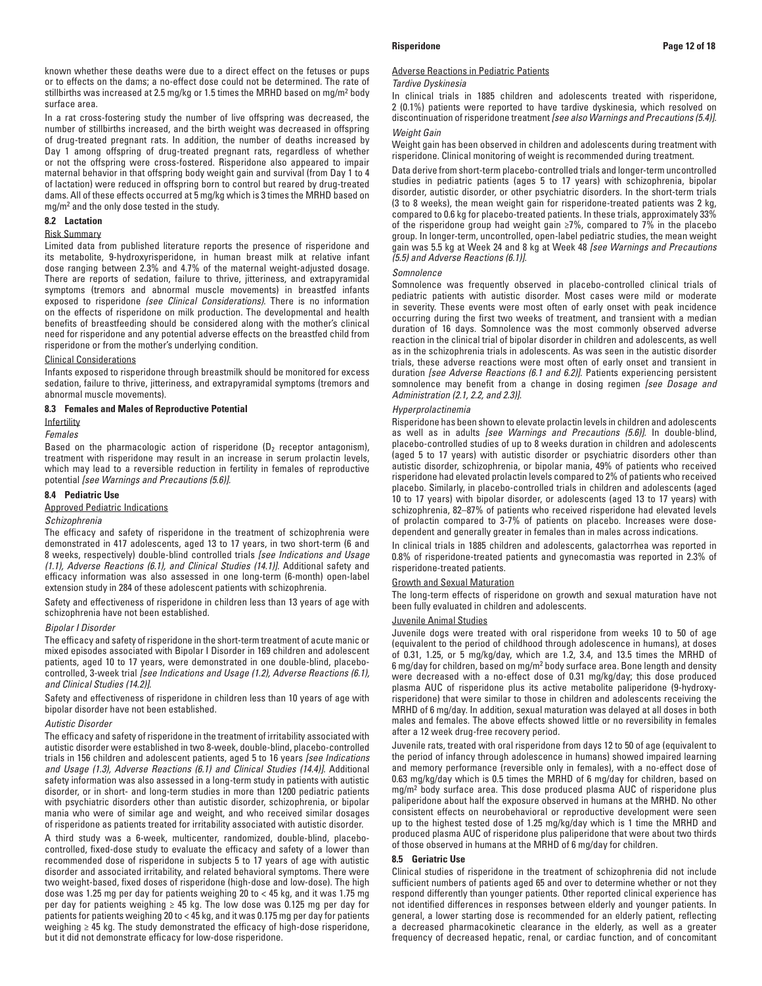known whether these deaths were due to a direct effect on the fetuses or pups or to effects on the dams; a no-effect dose could not be determined. The rate of stillbirths was increased at 2.5 mg/kg or 1.5 times the MRHD based on mg/m2 body surface area.

In a rat cross-fostering study the number of live offspring was decreased, the number of stillbirths increased, and the birth weight was decreased in offspring of drug-treated pregnant rats. In addition, the number of deaths increased by Day 1 among offspring of drug-treated pregnant rats, regardless of whether or not the offspring were cross-fostered. Risperidone also appeared to impair maternal behavior in that offspring body weight gain and survival (from Day 1 to 4 of lactation) were reduced in offspring born to control but reared by drug-treated dams. All of these effects occurred at 5 mg/kg which is 3 times the MRHD based on mg/m2 and the only dose tested in the study.

## **8.2 Lactation**

# Risk Summary

Limited data from published literature reports the presence of risperidone and its metabolite, 9-hydroxyrisperidone, in human breast milk at relative infant dose ranging between 2.3% and 4.7% of the maternal weight-adjusted dosage. There are reports of sedation, failure to thrive, jitteriness, and extrapyramidal symptoms (tremors and abnormal muscle movements) in breastfed infants exposed to risperidone *(see Clinical Considerations)*. There is no information on the effects of risperidone on milk production. The developmental and health benefits of breastfeeding should be considered along with the mother's clinical need for risperidone and any potential adverse effects on the breastfed child from risperidone or from the mother's underlying condition.

### Clinical Considerations

Infants exposed to risperidone through breastmilk should be monitored for excess sedation, failure to thrive, jitteriness, and extrapyramidal symptoms (tremors and abnormal muscle movements).

# **8.3 Females and Males of Reproductive Potential**

**Infertility** 

# *Females*

Based on the pharmacologic action of risperidone  $(D_2)$  receptor antagonism), treatment with risperidone may result in an increase in serum prolactin levels, which may lead to a reversible reduction in fertility in females of reproductive potential *[see Warnings and Precautions (5.6)].*

### **8.4 Pediatric Use**

### Approved Pediatric Indications

## *Schizophrenia*

The efficacy and safety of risperidone in the treatment of schizophrenia were demonstrated in 417 adolescents, aged 13 to 17 years, in two short-term (6 and 8 weeks, respectively) double-blind controlled trials *[see Indications and Usage (1.1), Adverse Reactions (6.1), and Clinical Studies (14.1)]*. Additional safety and efficacy information was also assessed in one long-term (6-month) open-label extension study in 284 of these adolescent patients with schizophrenia.

Safety and effectiveness of risperidone in children less than 13 years of age with schizophrenia have not been established.

### *Bipolar I Disorder*

The efficacy and safety of risperidone in the short-term treatment of acute manic or mixed episodes associated with Bipolar I Disorder in 169 children and adolescent patients, aged 10 to 17 years, were demonstrated in one double-blind, placebocontrolled, 3-week trial *[see Indications and Usage (1.2), Adverse Reactions (6.1), and Clinical Studies (14.2)]*.

Safety and effectiveness of risperidone in children less than 10 years of age with bipolar disorder have not been established.

# *Autistic Disorder*

The efficacy and safety of risperidone in the treatment of irritability associated with autistic disorder were established in two 8-week, double-blind, placebo-controlled trials in 156 children and adolescent patients, aged 5 to 16 years *[see Indications and Usage (1.3), Adverse Reactions (6.1) and Clinical Studies (14.4)]*. Additional safety information was also assessed in a long-term study in patients with autistic disorder, or in short- and long-term studies in more than 1200 pediatric patients with psychiatric disorders other than autistic disorder, schizophrenia, or bipolar mania who were of similar age and weight, and who received similar dosages of risperidone as patients treated for irritability associated with autistic disorder.

A third study was a 6-week, multicenter, randomized, double-blind, placebocontrolled, fixed-dose study to evaluate the efficacy and safety of a lower than recommended dose of risperidone in subjects 5 to 17 years of age with autistic disorder and associated irritability, and related behavioral symptoms. There were two weight-based, fixed doses of risperidone (high-dose and low-dose). The high dose was 1.25 mg per day for patients weighing 20 to < 45 kg, and it was 1.75 mg per day for patients weighing ≥ 45 kg. The low dose was 0.125 mg per day for patients for patients weighing 20 to < 45 kg, and it was 0.175 mg per day for patients weighing ≥ 45 kg. The study demonstrated the efficacy of high-dose risperidone, but it did not demonstrate efficacy for low-dose risperidone.

### Adverse Reactions in Pediatric Patients

*Tardive Dyskinesia*

In clinical trials in 1885 children and adolescents treated with risperidone, 2 (0.1%) patients were reported to have tardive dyskinesia, which resolved on discontinuation of risperidone treatment *[see also Warnings and Precautions (5.4)]*.

# *Weight Gain*

Weight gain has been observed in children and adolescents during treatment with risperidone. Clinical monitoring of weight is recommended during treatment.

Data derive from short-term placebo-controlled trials and longer-term uncontrolled studies in pediatric patients (ages 5 to 17 years) with schizophrenia, bipolar disorder, autistic disorder, or other psychiatric disorders. In the short-term trials (3 to 8 weeks), the mean weight gain for risperidone-treated patients was 2 kg, compared to 0.6 kg for placebo-treated patients. In these trials, approximately 33% of the risperidone group had weight gain ≥7%, compared to 7% in the placebo group. In longer-term, uncontrolled, open-label pediatric studies, the mean weight gain was 5.5 kg at Week 24 and 8 kg at Week 48 *[see Warnings and Precautions (5.5) and Adverse Reactions (6.1)]*.

### *Somnolence*

Somnolence was frequently observed in placebo-controlled clinical trials of pediatric patients with autistic disorder. Most cases were mild or moderate in severity. These events were most often of early onset with peak incidence occurring during the first two weeks of treatment, and transient with a median duration of 16 days. Somnolence was the most commonly observed adverse reaction in the clinical trial of bipolar disorder in children and adolescents, as well as in the schizophrenia trials in adolescents. As was seen in the autistic disorder trials, these adverse reactions were most often of early onset and transient in duration *[see Adverse Reactions (6.1 and 6.2)]*. Patients experiencing persistent somnolence may benefit from a change in dosing regimen *[see Dosage and Administration (2.1, 2.2, and 2.3)]*.

### *Hyperprolactinemia*

Risperidone has been shown to elevate prolactin levels in children and adolescents as well as in adults *[see Warnings and Precautions (5.6)]*. In double-blind, placebo-controlled studies of up to 8 weeks duration in children and adolescents (aged 5 to 17 years) with autistic disorder or psychiatric disorders other than autistic disorder, schizophrenia, or bipolar mania, 49% of patients who received risperidone had elevated prolactin levels compared to 2% of patients who received placebo. Similarly, in placebo-controlled trials in children and adolescents (aged 10 to 17 years) with bipolar disorder, or adolescents (aged 13 to 17 years) with schizophrenia, 82–87% of patients who received risperidone had elevated levels of prolactin compared to 3-7% of patients on placebo. Increases were dosedependent and generally greater in females than in males across indications.

In clinical trials in 1885 children and adolescents, galactorrhea was reported in 0.8% of risperidone-treated patients and gynecomastia was reported in 2.3% of risperidone-treated patients.

### Growth and Sexual Maturation

The long-term effects of risperidone on growth and sexual maturation have not been fully evaluated in children and adolescents.

## Juvenile Animal Studies

Juvenile dogs were treated with oral risperidone from weeks 10 to 50 of age (equivalent to the period of childhood through adolescence in humans), at doses of 0.31, 1.25, or 5 mg/kg/day, which are 1.2, 3.4, and 13.5 times the MRHD of 6 mg/day for children, based on mg/m2 body surface area. Bone length and density were decreased with a no-effect dose of 0.31 mg/kg/day; this dose produced plasma AUC of risperidone plus its active metabolite paliperidone (9-hydroxyrisperidone) that were similar to those in children and adolescents receiving the MRHD of 6 mg/day. In addition, sexual maturation was delayed at all doses in both males and females. The above effects showed little or no reversibility in females after a 12 week drug-free recovery period.

Juvenile rats, treated with oral risperidone from days 12 to 50 of age (equivalent to the period of infancy through adolescence in humans) showed impaired learning and memory performance (reversible only in females), with a no-effect dose of 0.63 mg/kg/day which is 0.5 times the MRHD of 6 mg/day for children, based on mg/m2 body surface area. This dose produced plasma AUC of risperidone plus paliperidone about half the exposure observed in humans at the MRHD. No other consistent effects on neurobehavioral or reproductive development were seen up to the highest tested dose of 1.25 mg/kg/day which is 1 time the MRHD and produced plasma AUC of risperidone plus paliperidone that were about two thirds of those observed in humans at the MRHD of 6 mg/day for children.

### **8.5 Geriatric Use**

Clinical studies of risperidone in the treatment of schizophrenia did not include sufficient numbers of patients aged 65 and over to determine whether or not they respond differently than younger patients. Other reported clinical experience has not identified differences in responses between elderly and younger patients. In general, a lower starting dose is recommended for an elderly patient, reflecting a decreased pharmacokinetic clearance in the elderly, as well as a greater frequency of decreased hepatic, renal, or cardiac function, and of concomitant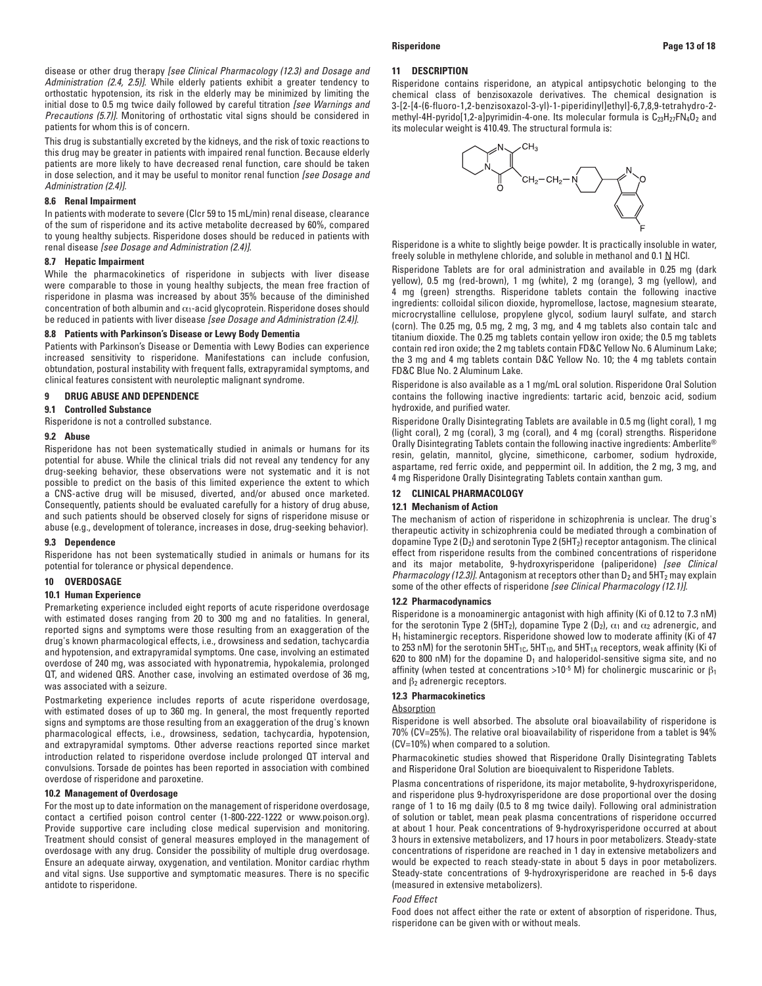This drug is substantially excreted by the kidneys, and the risk of toxic reactions to this drug may be greater in patients with impaired renal function. Because elderly patients are more likely to have decreased renal function, care should be taken in dose selection, and it may be useful to monitor renal function *[see Dosage and Administration (2.4)]*.

### **8.6 Renal Impairment**

patients for whom this is of concern.

In patients with moderate to severe (Clcr 59 to 15 mL/min) renal disease, clearance of the sum of risperidone and its active metabolite decreased by 60%, compared to young healthy subjects. Risperidone doses should be reduced in patients with renal disease *[see Dosage and Administration (2.4)]*.

### **8.7 Hepatic Impairment**

While the pharmacokinetics of risperidone in subjects with liver disease were comparable to those in young healthy subjects, the mean free fraction of risperidone in plasma was increased by about 35% because of the diminished concentration of both albumin and  $\alpha_1$ -acid glycoprotein. Risperidone doses should be reduced in patients with liver disease *[see Dosage and Administration (2.4)]*.

# **8.8 Patients with Parkinson's Disease or Lewy Body Dementia**

Patients with Parkinson's Disease or Dementia with Lewy Bodies can experience increased sensitivity to risperidone. Manifestations can include confusion, obtundation, postural instability with frequent falls, extrapyramidal symptoms, and clinical features consistent with neuroleptic malignant syndrome.

# **9 DRUG ABUSE AND DEPENDENCE**

**9.1 Controlled Substance**

Risperidone is not a controlled substance.

# **9.2 Abuse**

Risperidone has not been systematically studied in animals or humans for its potential for abuse. While the clinical trials did not reveal any tendency for any drug-seeking behavior, these observations were not systematic and it is not possible to predict on the basis of this limited experience the extent to which a CNS-active drug will be misused, diverted, and/or abused once marketed. Consequently, patients should be evaluated carefully for a history of drug abuse, and such patients should be observed closely for signs of risperidone misuse or abuse (e.g., development of tolerance, increases in dose, drug-seeking behavior).

### **9.3 Dependence**

Risperidone has not been systematically studied in animals or humans for its potential for tolerance or physical dependence.

# **10 OVERDOSAGE**

# **10.1 Human Experience**

Premarketing experience included eight reports of acute risperidone overdosage with estimated doses ranging from 20 to 300 mg and no fatalities. In general, reported signs and symptoms were those resulting from an exaggeration of the drug's known pharmacological effects, i.e., drowsiness and sedation, tachycardia and hypotension, and extrapyramidal symptoms. One case, involving an estimated overdose of 240 mg, was associated with hyponatremia, hypokalemia, prolonged QT, and widened QRS. Another case, involving an estimated overdose of 36 mg, was associated with a seizure.

Postmarketing experience includes reports of acute risperidone overdosage, with estimated doses of up to 360 mg. In general, the most frequently reported signs and symptoms are those resulting from an exaggeration of the drug's known pharmacological effects, i.e., drowsiness, sedation, tachycardia, hypotension, and extrapyramidal symptoms. Other adverse reactions reported since market introduction related to risperidone overdose include prolonged QT interval and convulsions. Torsade de pointes has been reported in association with combined overdose of risperidone and paroxetine.

### **10.2 Management of Overdosage**

For the most up to date information on the management of risperidone overdosage, contact a certified poison control center (1-800-222-1222 or www.poison.org). Provide supportive care including close medical supervision and monitoring. Treatment should consist of general measures employed in the management of overdosage with any drug. Consider the possibility of multiple drug overdosage. Ensure an adequate airway, oxygenation, and ventilation. Monitor cardiac rhythm and vital signs. Use supportive and symptomatic measures. There is no specific antidote to risperidone.

### **11 DESCRIPTION**

Risperidone contains risperidone, an atypical antipsychotic belonging to the chemical class of benzisoxazole derivatives. The chemical designation is 3-[2-[4-(6-fluoro-1,2-benzisoxazol-3-yl)-1-piperidinyl]ethyl]-6,7,8,9-tetrahydro-2 methyl-4H-pyrido[1,2-a]pyrimidin-4-one. Its molecular formula is  $C_{23}H_{27}FN_4O_2$  and its molecular weight is 410.49. The structural formula is:



Risperidone is a white to slightly beige powder. It is practically insoluble in water, freely soluble in methylene chloride, and soluble in methanol and  $0.1 \, \text{N}$  HCl.

Risperidone Tablets are for oral administration and available in 0.25 mg (dark yellow), 0.5 mg (red-brown), 1 mg (white), 2 mg (orange), 3 mg (yellow), and 4 mg (green) strengths. Risperidone tablets contain the following inactive ingredients: colloidal silicon dioxide, hypromellose, lactose, magnesium stearate, microcrystalline cellulose, propylene glycol, sodium lauryl sulfate, and starch (corn). The 0.25 mg, 0.5 mg, 2 mg, 3 mg, and 4 mg tablets also contain talc and titanium dioxide. The 0.25 mg tablets contain yellow iron oxide; the 0.5 mg tablets contain red iron oxide; the 2 mg tablets contain FD&C Yellow No. 6 Aluminum Lake; the 3 mg and 4 mg tablets contain D&C Yellow No. 10; the 4 mg tablets contain FD&C Blue No. 2 Aluminum Lake.

Risperidone is also available as a 1 mg/mL oral solution. Risperidone Oral Solution contains the following inactive ingredients: tartaric acid, benzoic acid, sodium hydroxide, and purified water.

Risperidone Orally Disintegrating Tablets are available in 0.5 mg (light coral), 1 mg (light coral), 2 mg (coral), 3 mg (coral), and 4 mg (coral) strengths. Risperidone Orally Disintegrating Tablets contain the following inactive ingredients: Amberlite® resin, gelatin, mannitol, glycine, simethicone, carbomer, sodium hydroxide, aspartame, red ferric oxide, and peppermint oil. In addition, the 2 mg, 3 mg, and 4 mg Risperidone Orally Disintegrating Tablets contain xanthan gum.

### **12 CLINICAL PHARMACOLOGY**

# **12.1 Mechanism of Action**

The mechanism of action of risperidone in schizophrenia is unclear. The drug's therapeutic activity in schizophrenia could be mediated through a combination of dopamine Type 2 ( $D_2$ ) and serotonin Type 2 (5HT<sub>2</sub>) receptor antagonism. The clinical effect from risperidone results from the combined concentrations of risperidone and its major metabolite, 9-hydroxyrisperidone (paliperidone) *[see Clinical Pharmacology (12.3)]*. Antagonism at receptors other than  $D_2$  and  $5HT_2$  may explain some of the other effects of risperidone *[see Clinical Pharmacology (12.1)].*

## **12.2 Pharmacodynamics**

Risperidone is a monoaminergic antagonist with high affinity (Ki of 0.12 to 7.3 nM) for the serotonin Type 2 (5HT<sub>2</sub>), dopamine Type 2 (D<sub>2</sub>),  $\alpha_1$  and  $\alpha_2$  adrenergic, and  $H_1$  histaminergic receptors. Risperidone showed low to moderate affinity (Ki of 47 to 253 nM) for the serotonin  $5HT_{1C}$ ,  $5HT_{1D}$ , and  $5HT_{1A}$  receptors, weak affinity (Ki of 620 to 800 nM) for the dopamine  $D_1$  and haloperidol-sensitive sigma site, and no affinity (when tested at concentrations >10<sup>-5</sup> M) for cholinergic muscarinic or  $\beta_1$ and  $\beta_2$  adrenergic receptors.

## **12.3 Pharmacokinetics**

### **Absorption**

Risperidone is well absorbed. The absolute oral bioavailability of risperidone is 70% (CV=25%). The relative oral bioavailability of risperidone from a tablet is 94% (CV=10%) when compared to a solution.

Pharmacokinetic studies showed that Risperidone Orally Disintegrating Tablets and Risperidone Oral Solution are bioequivalent to Risperidone Tablets.

Plasma concentrations of risperidone, its major metabolite, 9-hydroxyrisperidone, and risperidone plus 9-hydroxyrisperidone are dose proportional over the dosing range of 1 to 16 mg daily (0.5 to 8 mg twice daily). Following oral administration of solution or tablet, mean peak plasma concentrations of risperidone occurred at about 1 hour. Peak concentrations of 9-hydroxyrisperidone occurred at about 3 hours in extensive metabolizers, and 17 hours in poor metabolizers. Steady-state concentrations of risperidone are reached in 1 day in extensive metabolizers and would be expected to reach steady-state in about 5 days in poor metabolizers. Steady-state concentrations of 9-hydroxyrisperidone are reached in 5-6 days (measured in extensive metabolizers).

### *Food Effect*

Food does not affect either the rate or extent of absorption of risperidone. Thus, risperidone can be given with or without meals.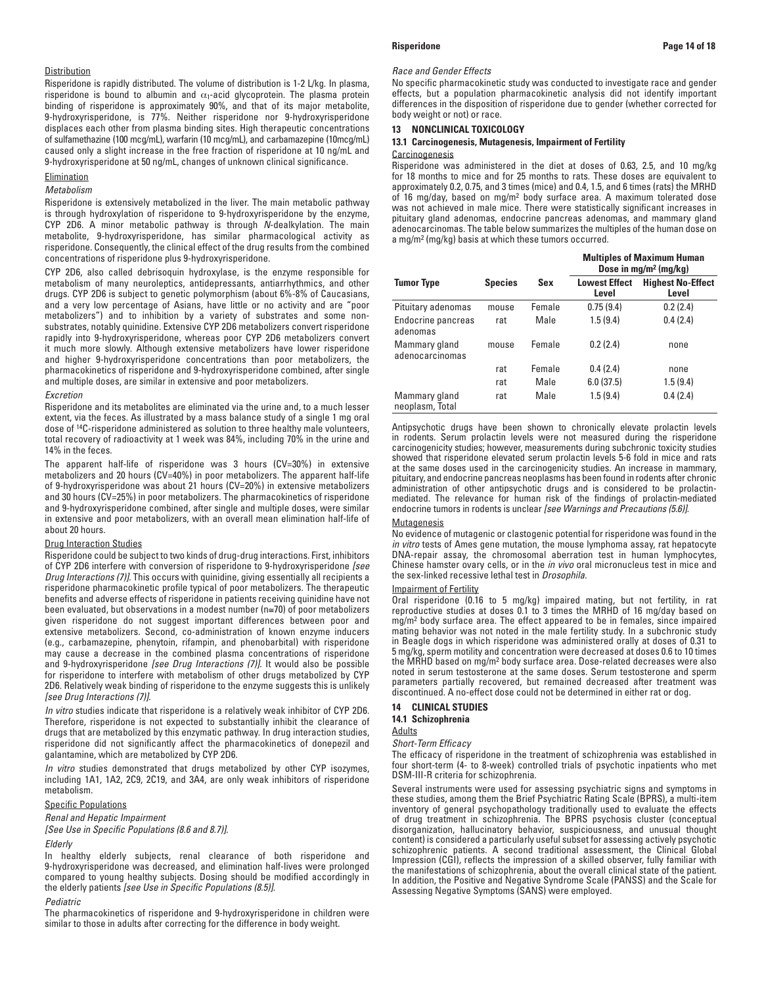### **Distribution**

Risperidone is rapidly distributed. The volume of distribution is 1-2 L/kg. In plasma, risperidone is bound to albumin and  $\alpha_1$ -acid glycoprotein. The plasma protein binding of risperidone is approximately 90%, and that of its major metabolite, 9-hydroxyrisperidone, is 77%. Neither risperidone nor 9-hydroxyrisperidone displaces each other from plasma binding sites. High therapeutic concentrations of sulfamethazine (100 mcg/mL), warfarin (10 mcg/mL), and carbamazepine (10mcg/mL) caused only a slight increase in the free fraction of risperidone at 10 ng/mL and 9-hydroxyrisperidone at 50 ng/mL, changes of unknown clinical significance.

# Elimination

# *Metabolism*

Risperidone is extensively metabolized in the liver. The main metabolic pathway is through hydroxylation of risperidone to 9-hydroxyrisperidone by the enzyme, CYP 2D6. A minor metabolic pathway is through *N*-dealkylation. The main metabolite, 9-hydroxyrisperidone, has similar pharmacological activity as risperidone. Consequently, the clinical effect of the drug results from the combined concentrations of risperidone plus 9-hydroxyrisperidone.

CYP 2D6, also called debrisoquin hydroxylase, is the enzyme responsible for metabolism of many neuroleptics, antidepressants, antiarrhythmics, and other drugs. CYP 2D6 is subject to genetic polymorphism (about 6%-8% of Caucasians, and a very low percentage of Asians, have little or no activity and are "poor metabolizers") and to inhibition by a variety of substrates and some nonsubstrates, notably quinidine. Extensive CYP 2D6 metabolizers convert risperidone rapidly into 9-hydroxyrisperidone, whereas poor CYP 2D6 metabolizers convert it much more slowly. Although extensive metabolizers have lower risperidone and higher 9-hydroxyrisperidone concentrations than poor metabolizers, the pharmacokinetics of risperidone and 9-hydroxyrisperidone combined, after single and multiple doses, are similar in extensive and poor metabolizers.

### *Excretion*

Risperidone and its metabolites are eliminated via the urine and, to a much lesser extent, via the feces. As illustrated by a mass balance study of a single 1 mg oral dose of 14C-risperidone administered as solution to three healthy male volunteers, total recovery of radioactivity at 1 week was 84%, including 70% in the urine and 14% in the feces.

The apparent half-life of risperidone was 3 hours (CV=30%) in extensive metabolizers and 20 hours (CV=40%) in poor metabolizers. The apparent half-life of 9-hydroxyrisperidone was about 21 hours (CV=20%) in extensive metabolizers and 30 hours (CV=25%) in poor metabolizers. The pharmacokinetics of risperidone and 9-hydroxyrisperidone combined, after single and multiple doses, were similar in extensive and poor metabolizers, with an overall mean elimination half-life of about 20 hours.

### Drug Interaction Studies

Risperidone could be subject to two kinds of drug-drug interactions. First, inhibitors of CYP 2D6 interfere with conversion of risperidone to 9-hydroxyrisperidone *[see Drug Interactions (7)]*. This occurs with quinidine, giving essentially all recipients a risperidone pharmacokinetic profile typical of poor metabolizers. The therapeutic benefits and adverse effects of risperidone in patients receiving quinidine have not been evaluated, but observations in a modest number (n≅70) of poor metabolizers given risperidone do not suggest important differences between poor and extensive metabolizers. Second, co-administration of known enzyme inducers (e.g., carbamazepine, phenytoin, rifampin, and phenobarbital) with risperidone may cause a decrease in the combined plasma concentrations of risperidone and 9-hydroxyrisperidone *[see Drug Interactions (7)]*. It would also be possible for risperidone to interfere with metabolism of other drugs metabolized by CYP 2D6. Relatively weak binding of risperidone to the enzyme suggests this is unlikely *[see Drug Interactions (7)]*.

*In vitro* studies indicate that risperidone is a relatively weak inhibitor of CYP 2D6. Therefore, risperidone is not expected to substantially inhibit the clearance of drugs that are metabolized by this enzymatic pathway. In drug interaction studies, risperidone did not significantly affect the pharmacokinetics of donepezil and galantamine, which are metabolized by CYP 2D6.

*In vitro* studies demonstrated that drugs metabolized by other CYP isozymes, including 1A1, 1A2, 2C9, 2C19, and 3A4, are only weak inhibitors of risperidone metabolism.

### Specific Populations

*Renal and Hepatic Impairment*

*[See Use in Specific Populations (8.6 and 8.7)].*

# *Elderly*

In healthy elderly subjects, renal clearance of both risperidone and 9-hydroxyrisperidone was decreased, and elimination half-lives were prolonged compared to young healthy subjects. Dosing should be modified accordingly in the elderly patients *[see Use in Specific Populations (8.5)]*.

### *Pediatric*

The pharmacokinetics of risperidone and 9-hydroxyrisperidone in children were similar to those in adults after correcting for the difference in body weight.

### *Race and Gender Effects*

No specific pharmacokinetic study was conducted to investigate race and gender effects, but a population pharmacokinetic analysis did not identify important differences in the disposition of risperidone due to gender (whether corrected for body weight or not) or race.

# **13 NONCLINICAL TOXICOLOGY**

# **13.1 Carcinogenesis, Mutagenesis, Impairment of Fertility Carcinogenesis**

Risperidone was administered in the diet at doses of 0.63, 2.5, and 10 mg/kg for 18 months to mice and for 25 months to rats. These doses are equivalent to approximately 0.2, 0.75, and 3 times (mice) and 0.4, 1.5, and 6 times (rats) the MRHD of 16 mg/day, based on mg/m2 body surface area. A maximum tolerated dose was not achieved in male mice. There were statistically significant increases in pituitary gland adenomas, endocrine pancreas adenomas, and mammary gland adenocarcinomas. The table below summarizes the multiples of the human dose on a mg/m2 (mg/kg) basis at which these tumors occurred.

|                                  |                |        | <b>Multiples of Maximum Human</b><br>Dose in $mg/m^2$ (mg/kg) |                                   |  |
|----------------------------------|----------------|--------|---------------------------------------------------------------|-----------------------------------|--|
| <b>Tumor Type</b>                | <b>Species</b> | Sex    | <b>Lowest Effect</b><br>Level                                 | <b>Highest No-Effect</b><br>Level |  |
| Pituitary adenomas               | mouse          | Female | 0.75(9.4)                                                     | 0.2(2.4)                          |  |
| Endocrine pancreas<br>adenomas   | rat            | Male   | 1.5(9.4)                                                      | 0.4(2.4)                          |  |
| Mammary gland<br>adenocarcinomas | mouse          | Female | 0.2(2.4)                                                      | none                              |  |
|                                  | rat            | Female | 0.4(2.4)                                                      | none                              |  |
|                                  | rat            | Male   | 6.0(37.5)                                                     | 1.5(9.4)                          |  |
| Mammary gland<br>neoplasm, Total | rat            | Male   | 1.5(9.4)                                                      | 0.4(2.4)                          |  |

Antipsychotic drugs have been shown to chronically elevate prolactin levels in rodents. Serum prolactin levels were not measured during the risperidone carcinogenicity studies; however, measurements during subchronic toxicity studies showed that risperidone elevated serum prolactin levels 5-6 fold in mice and rats at the same doses used in the carcinogenicity studies. An increase in mammary, pituitary, and endocrine pancreas neoplasms has been found in rodents after chronic administration of other antipsychotic drugs and is considered to be prolactinmediated. The relevance for human risk of the findings of prolactin-mediated endocrine tumors in rodents is unclear *[see Warnings and Precautions (5.6)]*.

### **Mutagenesis**

No evidence of mutagenic or clastogenic potential for risperidone was found in the *in vitro* tests of Ames gene mutation, the mouse lymphoma assay, rat hepatocyte DNA-repair assay, the chromosomal aberration test in human lymphocytes, Chinese hamster ovary cells, or in the *in vivo* oral micronucleus test in mice and the sex-linked recessive lethal test in *Drosophila*.

# Impairment of Fertility

Oral risperidone (0.16 to 5 mg/kg) impaired mating, but not fertility, in rat reproductive studies at doses 0.1 to 3 times the MRHD of 16 mg/day based on mg/m2 body surface area. The effect appeared to be in females, since impaired mating behavior was not noted in the male fertility study. In a subchronic study in Beagle dogs in which risperidone was administered orally at doses of 0.31 to 5 mg/kg, sperm motility and concentration were decreased at doses 0.6 to 10 times the MRHD based on mg/m2 body surface area. Dose-related decreases were also noted in serum testosterone at the same doses. Serum testosterone and sperm parameters partially recovered, but remained decreased after treatment was discontinued. A no-effect dose could not be determined in either rat or dog.

# **14 CLINICAL STUDIES 14.1 Schizophrenia**

Adults

*Short-Term Efficacy*

The efficacy of risperidone in the treatment of schizophrenia was established in four short-term (4- to 8-week) controlled trials of psychotic inpatients who met DSM-III-R criteria for schizophrenia.

Several instruments were used for assessing psychiatric signs and symptoms in these studies, among them the Brief Psychiatric Rating Scale (BPRS), a multi-item inventory of general psychopathology traditionally used to evaluate the effects of drug treatment in schizophrenia. The BPRS psychosis cluster (conceptual disorganization, hallucinatory behavior, suspiciousness, and unusual thought content) is considered a particularly useful subset for assessing actively psychotic schizophrenic patients. A second traditional assessment, the Clinical Global Impression (CGI), reflects the impression of a skilled observer, fully familiar with the manifestations of schizophrenia, about the overall clinical state of the patient. In addition, the Positive and Negative Syndrome Scale (PANSS) and the Scale for Assessing Negative Symptoms (SANS) were employed.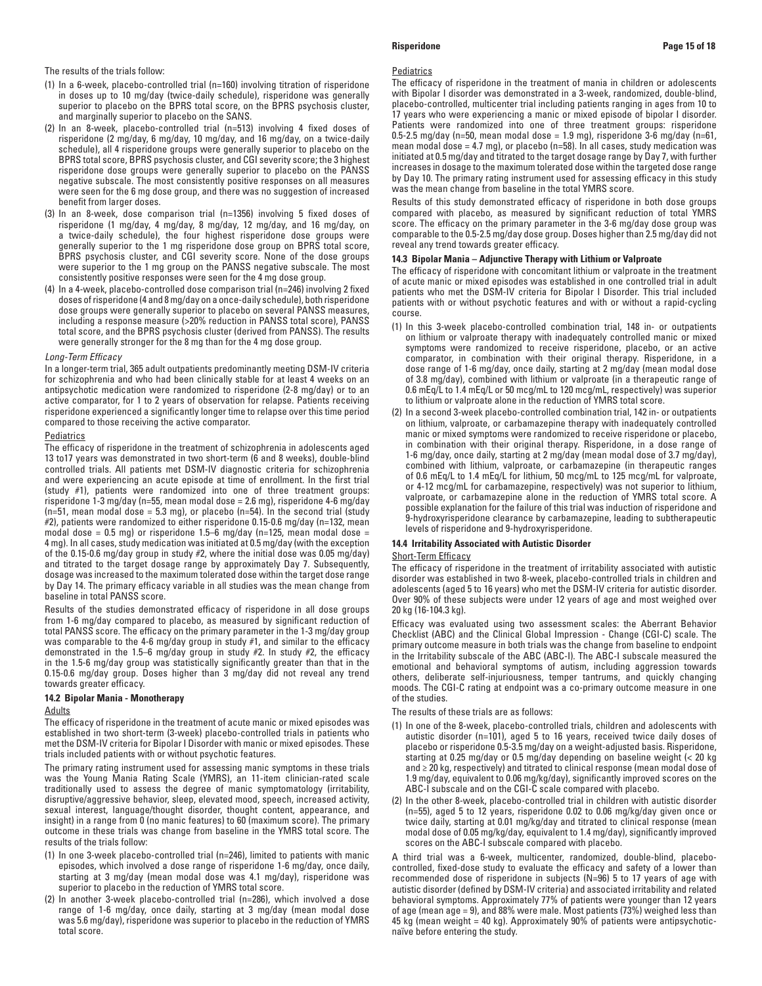- (1) In a 6-week, placebo-controlled trial (n=160) involving titration of risperidone in doses up to 10 mg/day (twice-daily schedule), risperidone was generally superior to placebo on the BPRS total score, on the BPRS psychosis cluster, and marginally superior to placebo on the SANS.
- (2) In an 8-week, placebo-controlled trial (n=513) involving 4 fixed doses of risperidone (2 mg/day, 6 mg/day, 10 mg/day, and 16 mg/day, on a twice-daily schedule), all 4 risperidone groups were generally superior to placebo on the BPRS total score, BPRS psychosis cluster, and CGI severity score; the 3 highest risperidone dose groups were generally superior to placebo on the PANSS negative subscale. The most consistently positive responses on all measures were seen for the 6 mg dose group, and there was no suggestion of increased benefit from larger doses.
- (3) In an 8-week, dose comparison trial (n=1356) involving 5 fixed doses of risperidone (1 mg/day, 4 mg/day, 8 mg/day, 12 mg/day, and 16 mg/day, on a twice-daily schedule), the four highest risperidone dose groups were generally superior to the 1 mg risperidone dose group on BPRS total score, BPRS psychosis cluster, and CGI severity score. None of the dose groups were superior to the 1 mg group on the PANSS negative subscale. The most consistently positive responses were seen for the 4 mg dose group.
- (4) In a 4-week, placebo-controlled dose comparison trial (n=246) involving 2 fixed doses of risperidone (4 and 8 mg/day on a once-daily schedule), both risperidone dose groups were generally superior to placebo on several PANSS measures, including a response measure (>20% reduction in PANSS total score), PANSS total score, and the BPRS psychosis cluster (derived from PANSS). The results were generally stronger for the 8 mg than for the 4 mg dose group.

### *Long-Term Efficacy*

In a longer-term trial, 365 adult outpatients predominantly meeting DSM-IV criteria for schizophrenia and who had been clinically stable for at least 4 weeks on an antipsychotic medication were randomized to risperidone (2-8 mg/day) or to an active comparator, for 1 to 2 years of observation for relapse. Patients receiving risperidone experienced a significantly longer time to relapse over this time period compared to those receiving the active comparator.

### **Pediatrics**

The efficacy of risperidone in the treatment of schizophrenia in adolescents aged 13 to17 years was demonstrated in two short-term (6 and 8 weeks), double-blind controlled trials. All patients met DSM-IV diagnostic criteria for schizophrenia and were experiencing an acute episode at time of enrollment. In the first trial (study #1), patients were randomized into one of three treatment groups: risperidone 1-3 mg/day (n=55, mean modal dose = 2.6 mg), risperidone 4-6 mg/day ( $n=51$ , mean modal dose = 5.3 mg), or placebo ( $n=54$ ). In the second trial (study #2), patients were randomized to either risperidone 0.15-0.6 mg/day (n=132, mean modal dose =  $0.5$  mg) or risperidone 1.5–6 mg/day (n=125, mean modal dose = 4 mg). In all cases, study medication was initiated at 0.5 mg/day (with the exception of the 0.15-0.6 mg/day group in study #2, where the initial dose was 0.05 mg/day) and titrated to the target dosage range by approximately Day 7. Subsequently, dosage was increased to the maximum tolerated dose within the target dose range by Day 14. The primary efficacy variable in all studies was the mean change from baseline in total PANSS score.

Results of the studies demonstrated efficacy of risperidone in all dose groups from 1-6 mg/day compared to placebo, as measured by significant reduction of total PANSS score. The efficacy on the primary parameter in the 1-3 mg/day group was comparable to the 4-6 mg/day group in study #1, and similar to the efficacy demonstrated in the 1.5–6 mg/day group in study #2. In study #2, the efficacy in the 1.5-6 mg/day group was statistically significantly greater than that in the 0.15-0.6 mg/day group. Doses higher than 3 mg/day did not reveal any trend towards greater efficacy.

### **14.2 Bipolar Mania - Monotherapy**

### Adults

The efficacy of risperidone in the treatment of acute manic or mixed episodes was established in two short-term (3-week) placebo-controlled trials in patients who met the DSM-IV criteria for Bipolar I Disorder with manic or mixed episodes. These trials included patients with or without psychotic features.

The primary rating instrument used for assessing manic symptoms in these trials was the Young Mania Rating Scale (YMRS), an 11-item clinician-rated scale traditionally used to assess the degree of manic symptomatology (irritability, disruptive/aggressive behavior, sleep, elevated mood, speech, increased activity, sexual interest, language/thought disorder, thought content, appearance, and insight) in a range from 0 (no manic features) to 60 (maximum score). The primary outcome in these trials was change from baseline in the YMRS total score. The results of the trials follow:

- (1) In one 3-week placebo-controlled trial (n=246), limited to patients with manic episodes, which involved a dose range of risperidone 1-6 mg/day, once daily, starting at 3 mg/day (mean modal dose was 4.1 mg/day), risperidone was superior to placebo in the reduction of YMRS total score.
- (2) In another 3-week placebo-controlled trial (n=286), which involved a dose range of 1-6 mg/day, once daily, starting at 3 mg/day (mean modal dose was 5.6 mg/day), risperidone was superior to placebo in the reduction of YMRS total score.

### **Pediatrics**

The efficacy of risperidone in the treatment of mania in children or adolescents with Bipolar I disorder was demonstrated in a 3-week, randomized, double-blind, placebo-controlled, multicenter trial including patients ranging in ages from 10 to 17 years who were experiencing a manic or mixed episode of bipolar I disorder. Patients were randomized into one of three treatment groups: risperidone 0.5-2.5 mg/day (n=50, mean modal dose = 1.9 mg), risperidone 3-6 mg/day (n=61, mean modal dose  $= 4.7$  mg), or placebo (n=58). In all cases, study medication was initiated at 0.5 mg/day and titrated to the target dosage range by Day 7, with further increases in dosage to the maximum tolerated dose within the targeted dose range by Day 10. The primary rating instrument used for assessing efficacy in this study was the mean change from baseline in the total YMRS score.

Results of this study demonstrated efficacy of risperidone in both dose groups compared with placebo, as measured by significant reduction of total YMRS score. The efficacy on the primary parameter in the 3-6 mg/day dose group was comparable to the 0.5-2.5 mg/day dose group. Doses higher than 2.5 mg/day did not reveal any trend towards greater efficacy.

## **14.3 Bipolar Mania – Adjunctive Therapy with Lithium or Valproate**

The efficacy of risperidone with concomitant lithium or valproate in the treatment of acute manic or mixed episodes was established in one controlled trial in adult patients who met the DSM-IV criteria for Bipolar I Disorder. This trial included patients with or without psychotic features and with or without a rapid-cycling course.

- (1) In this 3-week placebo-controlled combination trial, 148 in- or outpatients on lithium or valproate therapy with inadequately controlled manic or mixed symptoms were randomized to receive risperidone, placebo, or an active comparator, in combination with their original therapy. Risperidone, in a dose range of 1-6 mg/day, once daily, starting at 2 mg/day (mean modal dose of 3.8 mg/day), combined with lithium or valproate (in a therapeutic range of 0.6 mEq/L to 1.4 mEq/L or 50 mcg/mL to 120 mcg/mL, respectively) was superior to lithium or valproate alone in the reduction of YMRS total score.
- (2) In a second 3-week placebo-controlled combination trial, 142 in- or outpatients on lithium, valproate, or carbamazepine therapy with inadequately controlled manic or mixed symptoms were randomized to receive risperidone or placebo, in combination with their original therapy. Risperidone, in a dose range of 1-6 mg/day, once daily, starting at 2 mg/day (mean modal dose of 3.7 mg/day), combined with lithium, valproate, or carbamazepine (in therapeutic ranges of 0.6 mEq/L to 1.4 mEq/L for lithium, 50 mcg/mL to 125 mcg/mL for valproate, or 4-12 mcg/mL for carbamazepine, respectively) was not superior to lithium, valproate, or carbamazepine alone in the reduction of YMRS total score. A possible explanation for the failure of this trial was induction of risperidone and 9-hydroxyrisperidone clearance by carbamazepine, leading to subtherapeutic levels of risperidone and 9-hydroxyrisperidone.

## **14.4 Irritability Associated with Autistic Disorder**

### Short-Term Efficacy

The efficacy of risperidone in the treatment of irritability associated with autistic disorder was established in two 8-week, placebo-controlled trials in children and adolescents (aged 5 to 16 years) who met the DSM-IV criteria for autistic disorder. Over 90% of these subjects were under 12 years of age and most weighed over 20 kg (16-104.3 kg).

Efficacy was evaluated using two assessment scales: the Aberrant Behavior Checklist (ABC) and the Clinical Global Impression - Change (CGI-C) scale. The primary outcome measure in both trials was the change from baseline to endpoint in the Irritability subscale of the ABC (ABC-I). The ABC-I subscale measured the emotional and behavioral symptoms of autism, including aggression towards others, deliberate self-injuriousness, temper tantrums, and quickly changing moods. The CGI-C rating at endpoint was a co-primary outcome measure in one of the studies.

The results of these trials are as follows:

- (1) In one of the 8-week, placebo-controlled trials, children and adolescents with autistic disorder (n=101), aged 5 to 16 years, received twice daily doses of placebo or risperidone 0.5-3.5 mg/day on a weight-adjusted basis. Risperidone, starting at 0.25 mg/day or 0.5 mg/day depending on baseline weight (< 20 kg and ≥ 20 kg, respectively) and titrated to clinical response (mean modal dose of 1.9 mg/day, equivalent to 0.06 mg/kg/day), significantly improved scores on the ABC-I subscale and on the CGI-C scale compared with placebo.
- (2) In the other 8-week, placebo-controlled trial in children with autistic disorder (n=55), aged 5 to 12 years, risperidone 0.02 to 0.06 mg/kg/day given once or twice daily, starting at 0.01 mg/kg/day and titrated to clinical response (mean modal dose of 0.05 mg/kg/day, equivalent to 1.4 mg/day), significantly improved scores on the ABC-I subscale compared with placebo.

A third trial was a 6-week, multicenter, randomized, double-blind, placebocontrolled, fixed-dose study to evaluate the efficacy and safety of a lower than recommended dose of risperidone in subjects (N=96) 5 to 17 years of age with autistic disorder (defined by DSM-IV criteria) and associated irritability and related behavioral symptoms. Approximately 77% of patients were younger than 12 years of age (mean age = 9), and 88% were male. Most patients (73%) weighed less than 45 kg (mean weight = 40 kg). Approximately 90% of patients were antipsychoticnaïve before entering the study.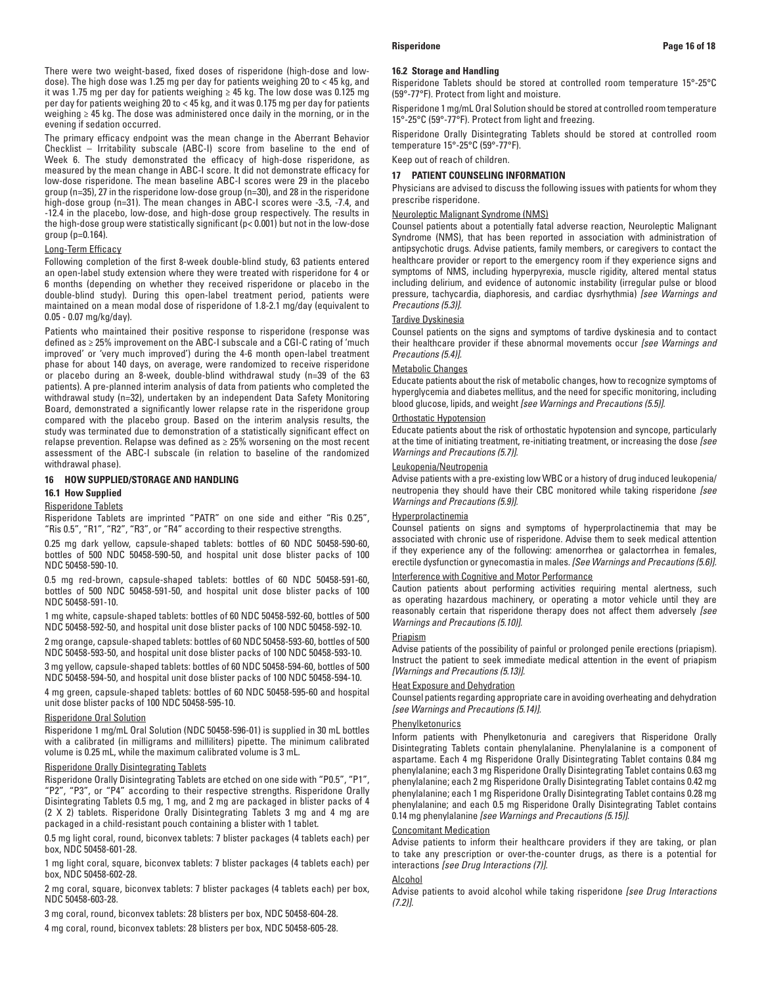There were two weight-based, fixed doses of risperidone (high-dose and lowdose). The high dose was 1.25 mg per day for patients weighing 20 to < 45 kg, and it was 1.75 mg per day for patients weighing ≥ 45 kg. The low dose was 0.125 mg per day for patients weighing 20 to < 45 kg, and it was 0.175 mg per day for patients weighing ≥ 45 kg. The dose was administered once daily in the morning, or in the evening if sedation occurred.

The primary efficacy endpoint was the mean change in the Aberrant Behavior Checklist – Irritability subscale (ABC-I) score from baseline to the end of Week 6. The study demonstrated the efficacy of high-dose risperidone, as measured by the mean change in ABC-I score. It did not demonstrate efficacy for low-dose risperidone. The mean baseline ABC-I scores were 29 in the placebo group (n=35), 27 in the risperidone low-dose group (n=30), and 28 in the risperidone high-dose group (n=31). The mean changes in ABC-I scores were -3.5, -7.4, and -12.4 in the placebo, low-dose, and high-dose group respectively. The results in the high-dose group were statistically significant (p< 0.001) but not in the low-dose group (p=0.164).

### Long-Term Efficacy

Following completion of the first 8-week double-blind study, 63 patients entered an open-label study extension where they were treated with risperidone for 4 or 6 months (depending on whether they received risperidone or placebo in the double-blind study). During this open-label treatment period, patients were maintained on a mean modal dose of risperidone of 1.8-2.1 mg/day (equivalent to 0.05 - 0.07 mg/kg/day).

Patients who maintained their positive response to risperidone (response was defined as ≥ 25% improvement on the ABC-I subscale and a CGI-C rating of 'much improved' or 'very much improved') during the 4-6 month open-label treatment phase for about 140 days, on average, were randomized to receive risperidone or placebo during an 8-week, double-blind withdrawal study (n=39 of the 63 patients). A pre-planned interim analysis of data from patients who completed the withdrawal study (n=32), undertaken by an independent Data Safety Monitoring Board, demonstrated a significantly lower relapse rate in the risperidone group compared with the placebo group. Based on the interim analysis results, the study was terminated due to demonstration of a statistically significant effect on relapse prevention. Relapse was defined as ≥ 25% worsening on the most recent assessment of the ABC-I subscale (in relation to baseline of the randomized withdrawal phase).

# **16 HOW SUPPLIED/STORAGE AND HANDLING**

# **16.1 How Supplied**

### Risperidone Tablets

Risperidone Tablets are imprinted "PATR" on one side and either "Ris 0.25", "Ris 0.5", "R1", "R2", "R3", or "R4" according to their respective strengths.

0.25 mg dark yellow, capsule-shaped tablets: bottles of 60 NDC 50458-590-60, bottles of 500 NDC 50458-590-50, and hospital unit dose blister packs of 100 NDC 50458-590-10.

0.5 mg red-brown, capsule-shaped tablets: bottles of 60 NDC 50458-591-60, bottles of 500 NDC 50458-591-50, and hospital unit dose blister packs of 100 NDC 50458-591-10.

1 mg white, capsule-shaped tablets: bottles of 60 NDC 50458-592-60, bottles of 500 NDC 50458-592-50, and hospital unit dose blister packs of 100 NDC 50458-592-10.

2 mg orange, capsule-shaped tablets: bottles of 60 NDC 50458-593-60, bottles of 500 NDC 50458-593-50, and hospital unit dose blister packs of 100 NDC 50458-593-10.

3 mg yellow, capsule-shaped tablets: bottles of 60 NDC 50458-594-60, bottles of 500 NDC 50458-594-50, and hospital unit dose blister packs of 100 NDC 50458-594-10.

4 mg green, capsule-shaped tablets: bottles of 60 NDC 50458-595-60 and hospital unit dose blister packs of 100 NDC 50458-595-10.

### Risperidone Oral Solution

Risperidone 1 mg/mL Oral Solution (NDC 50458-596-01) is supplied in 30 mL bottles with a calibrated (in milligrams and milliliters) pipette. The minimum calibrated volume is 0.25 mL, while the maximum calibrated volume is 3 mL.

## Risperidone Orally Disintegrating Tablets

Risperidone Orally Disintegrating Tablets are etched on one side with "P0.5", "P1", "P2", "P3", or "P4" according to their respective strengths. Risperidone Orally Disintegrating Tablets 0.5 mg, 1 mg, and 2 mg are packaged in blister packs of 4 (2 X 2) tablets. Risperidone Orally Disintegrating Tablets 3 mg and 4 mg are packaged in a child-resistant pouch containing a blister with 1 tablet.

0.5 mg light coral, round, biconvex tablets: 7 blister packages (4 tablets each) per box, NDC 50458-601-28.

1 mg light coral, square, biconvex tablets: 7 blister packages (4 tablets each) per box, NDC 50458-602-28.

2 mg coral, square, biconvex tablets: 7 blister packages (4 tablets each) per box, NDC 50458-603-28.

3 mg coral, round, biconvex tablets: 28 blisters per box, NDC 50458-604-28.

4 mg coral, round, biconvex tablets: 28 blisters per box, NDC 50458-605-28.

### **16.2 Storage and Handling**

Risperidone Tablets should be stored at controlled room temperature 15°-25°C (59°-77°F). Protect from light and moisture.

Risperidone 1 mg/mL Oral Solution should be stored at controlled room temperature 15°-25°C (59°-77°F). Protect from light and freezing.

Risperidone Orally Disintegrating Tablets should be stored at controlled room temperature 15°-25°C (59°-77°F).

Keep out of reach of children.

### **17 PATIENT COUNSELING INFORMATION**

Physicians are advised to discuss the following issues with patients for whom they prescribe risperidone.

## Neuroleptic Malignant Syndrome (NMS)

Counsel patients about a potentially fatal adverse reaction, Neuroleptic Malignant Syndrome (NMS), that has been reported in association with administration of antipsychotic drugs. Advise patients, family members, or caregivers to contact the healthcare provider or report to the emergency room if they experience signs and symptoms of NMS, including hyperpyrexia, muscle rigidity, altered mental status including delirium, and evidence of autonomic instability (irregular pulse or blood pressure, tachycardia, diaphoresis, and cardiac dysrhythmia) *[see Warnings and Precautions (5.3)].*

## Tardive Dyskinesia

Counsel patients on the signs and symptoms of tardive dyskinesia and to contact their healthcare provider if these abnormal movements occur *[see Warnings and Precautions (5.4)].*

# Metabolic Changes

Educate patients about the risk of metabolic changes, how to recognize symptoms of hyperglycemia and diabetes mellitus, and the need for specific monitoring, including blood glucose, lipids, and weight *[see Warnings and Precautions (5.5)].*

# Orthostatic Hypotension

Educate patients about the risk of orthostatic hypotension and syncope, particularly at the time of initiating treatment, re-initiating treatment, or increasing the dose *[see Warnings and Precautions (5.7)].*

## Leukopenia/Neutropenia

Advise patients with a pre-existing low WBC or a history of drug induced leukopenia/ neutropenia they should have their CBC monitored while taking risperidone *[see Warnings and Precautions (5.9)].*

### Hyperprolactinemia

Counsel patients on signs and symptoms of hyperprolactinemia that may be associated with chronic use of risperidone. Advise them to seek medical attention if they experience any of the following: amenorrhea or galactorrhea in females, erectile dysfunction or gynecomastia in males. *[See Warnings and Precautions (5.6)].*

# Interference with Cognitive and Motor Performance

Caution patients about performing activities requiring mental alertness, such as operating hazardous machinery, or operating a motor vehicle until they are reasonably certain that risperidone therapy does not affect them adversely *[see Warnings and Precautions (5.10)].*

### Priapism

Advise patients of the possibility of painful or prolonged penile erections (priapism). Instruct the patient to seek immediate medical attention in the event of priapism *[Warnings and Precautions (5.13)].*

### Heat Exposure and Dehydration

Counsel patients regarding appropriate care in avoiding overheating and dehydration *[see Warnings and Precautions (5.14)].*

# **Phenylketonurics**

Inform patients with Phenylketonuria and caregivers that Risperidone Orally Disintegrating Tablets contain phenylalanine. Phenylalanine is a component of aspartame. Each 4 mg Risperidone Orally Disintegrating Tablet contains 0.84 mg phenylalanine; each 3 mg Risperidone Orally Disintegrating Tablet contains 0.63 mg phenylalanine; each 2 mg Risperidone Orally Disintegrating Tablet contains 0.42 mg phenylalanine; each 1 mg Risperidone Orally Disintegrating Tablet contains 0.28 mg phenylalanine; and each 0.5 mg Risperidone Orally Disintegrating Tablet contains 0.14 mg phenylalanine *[see Warnings and Precautions (5.15)]*.

### Concomitant Medication

Advise patients to inform their healthcare providers if they are taking, or plan to take any prescription or over-the-counter drugs, as there is a potential for interactions *[see Drug Interactions (7)]*.

### Alcohol

Advise patients to avoid alcohol while taking risperidone *[see Drug Interactions (7.2)]*.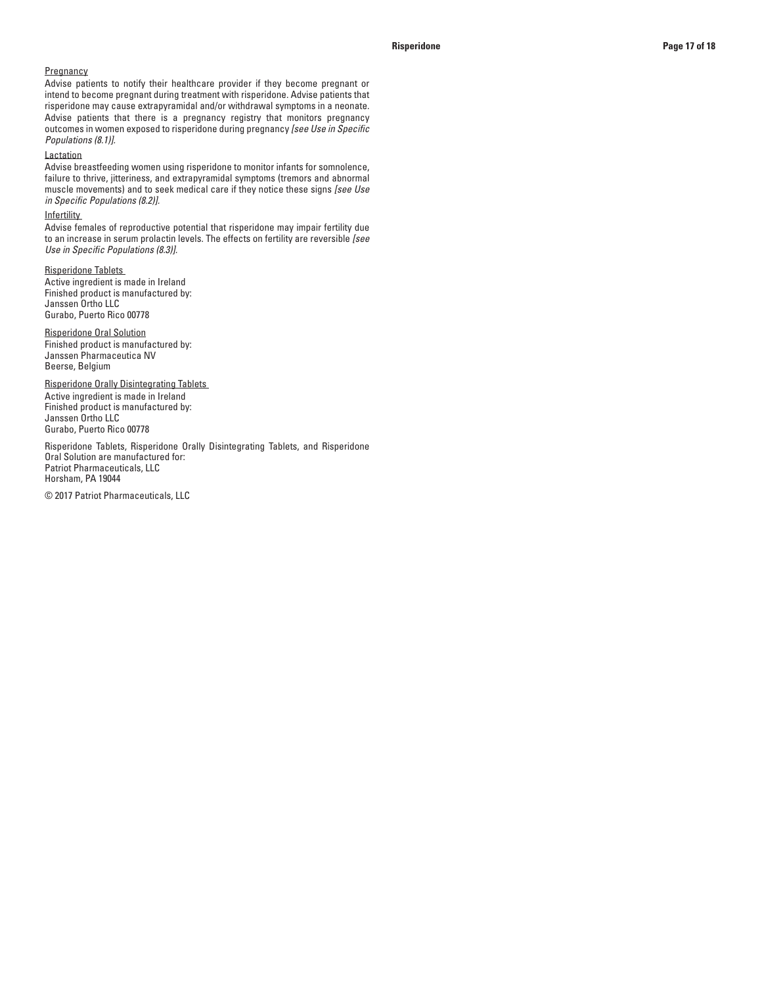## **Pregnancy**

Advise patients to notify their healthcare provider if they become pregnant or intend to become pregnant during treatment with risperidone. Advise patients that risperidone may cause extrapyramidal and/or withdrawal symptoms in a neonate. Advise patients that there is a pregnancy registry that monitors pregnancy outcomes in women exposed to risperidone during pregnancy *[see Use in Specific Populations (8.1)].*

# Lactation

Advise breastfeeding women using risperidone to monitor infants for somnolence, failure to thrive, jitteriness, and extrapyramidal symptoms (tremors and abnormal muscle movements) and to seek medical care if they notice these signs *[see Use in Specific Populations (8.2)].*

# **Infertility**

Advise females of reproductive potential that risperidone may impair fertility due to an increase in serum prolactin levels. The effects on fertility are reversible *[see Use in Specific Populations (8.3)].*

## Risperidone Tablets

Active ingredient is made in Ireland Finished product is manufactured by: Janssen Ortho LLC Gurabo, Puerto Rico 00778

Risperidone Oral Solution Finished product is manufactured by: Janssen Pharmaceutica NV Beerse, Belgium

Risperidone Orally Disintegrating Tablets Active ingredient is made in Ireland Finished product is manufactured by: Janssen Ortho LLC Gurabo, Puerto Rico 00778

Risperidone Tablets, Risperidone Orally Disintegrating Tablets, and Risperidone Oral Solution are manufactured for: Patriot Pharmaceuticals, LLC Horsham, PA 19044

© 2017 Patriot Pharmaceuticals, LLC